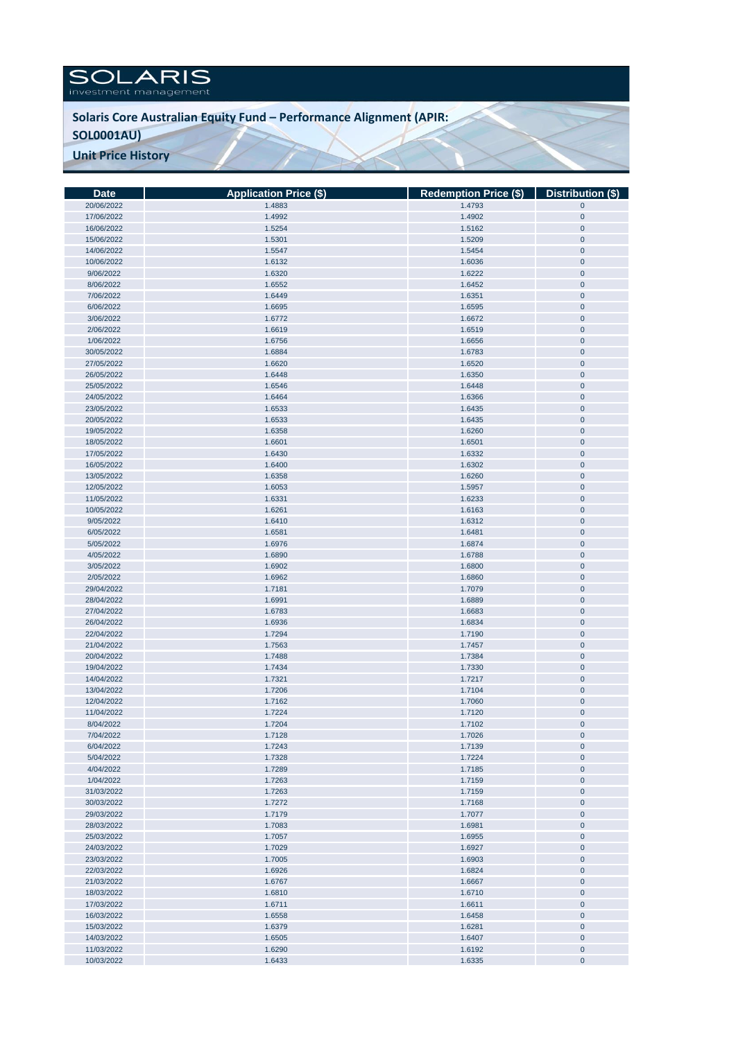## SOLARIS

## **Solaris Core Australian Equity Fund – Performance Alignment (APIR:**

## **SOL0001AU)**

**Unit Price History** 

| <b>Date</b> | <b>Application Price (\$)</b> | Redemption Price (\$) Distribution (\$) |             |
|-------------|-------------------------------|-----------------------------------------|-------------|
| 20/06/2022  | 1.4883                        | 1.4793                                  | $\mathbf 0$ |
| 17/06/2022  | 1.4992                        | 1.4902                                  | $\pmb{0}$   |
| 16/06/2022  | 1.5254                        | 1.5162                                  | $\pmb{0}$   |
| 15/06/2022  | 1.5301                        | 1.5209                                  | $\pmb{0}$   |
| 14/06/2022  | 1.5547                        | 1.5454                                  | $\pmb{0}$   |
|             |                               |                                         |             |
| 10/06/2022  | 1.6132                        | 1.6036                                  | $\pmb{0}$   |
| 9/06/2022   | 1.6320                        | 1.6222                                  | $\pmb{0}$   |
| 8/06/2022   | 1.6552                        | 1.6452                                  | $\pmb{0}$   |
| 7/06/2022   | 1.6449                        | 1.6351                                  | $\pmb{0}$   |
| 6/06/2022   | 1.6695                        | 1.6595                                  | $\pmb{0}$   |
| 3/06/2022   | 1.6772                        | 1.6672                                  | $\pmb{0}$   |
| 2/06/2022   | 1.6619                        | 1.6519                                  | $\pmb{0}$   |
| 1/06/2022   | 1.6756                        | 1.6656                                  | $\pmb{0}$   |
| 30/05/2022  | 1.6884                        | 1.6783                                  | $\pmb{0}$   |
| 27/05/2022  | 1.6620                        | 1.6520                                  | $\pmb{0}$   |
|             |                               |                                         |             |
| 26/05/2022  | 1.6448                        | 1.6350                                  | $\pmb{0}$   |
| 25/05/2022  | 1.6546                        | 1.6448                                  | $\pmb{0}$   |
| 24/05/2022  | 1.6464                        | 1.6366                                  | $\pmb{0}$   |
| 23/05/2022  | 1.6533                        | 1.6435                                  | $\pmb{0}$   |
| 20/05/2022  | 1.6533                        | 1.6435                                  | $\pmb{0}$   |
| 19/05/2022  | 1.6358                        | 1.6260                                  | $\pmb{0}$   |
| 18/05/2022  | 1.6601                        | 1.6501                                  | $\pmb{0}$   |
| 17/05/2022  | 1.6430                        | 1.6332                                  | $\pmb{0}$   |
| 16/05/2022  | 1.6400                        | 1.6302                                  | $\pmb{0}$   |
| 13/05/2022  | 1.6358                        | 1.6260                                  | $\pmb{0}$   |
| 12/05/2022  | 1.6053                        | 1.5957                                  | $\pmb{0}$   |
| 11/05/2022  | 1.6331                        | 1.6233                                  | $\pmb{0}$   |
|             |                               |                                         |             |
| 10/05/2022  | 1.6261                        | 1.6163                                  | $\pmb{0}$   |
| 9/05/2022   | 1.6410                        | 1.6312                                  | $\pmb{0}$   |
| 6/05/2022   | 1.6581                        | 1.6481                                  | $\pmb{0}$   |
| 5/05/2022   | 1.6976                        | 1.6874                                  | $\pmb{0}$   |
| 4/05/2022   | 1.6890                        | 1.6788                                  | $\pmb{0}$   |
| 3/05/2022   | 1.6902                        | 1.6800                                  | $\pmb{0}$   |
| 2/05/2022   | 1.6962                        | 1.6860                                  | $\pmb{0}$   |
| 29/04/2022  | 1.7181                        | 1.7079                                  | $\pmb{0}$   |
| 28/04/2022  | 1.6991                        | 1.6889                                  | $\pmb{0}$   |
| 27/04/2022  | 1.6783                        | 1.6683                                  | $\pmb{0}$   |
| 26/04/2022  | 1.6936                        | 1.6834                                  | $\pmb{0}$   |
| 22/04/2022  | 1.7294                        | 1.7190                                  | $\pmb{0}$   |
| 21/04/2022  | 1.7563                        | 1.7457                                  | $\pmb{0}$   |
|             |                               |                                         |             |
| 20/04/2022  | 1.7488                        | 1.7384                                  | $\pmb{0}$   |
| 19/04/2022  | 1.7434                        | 1.7330                                  | $\pmb{0}$   |
| 14/04/2022  | 1.7321                        | 1.7217                                  | $\pmb{0}$   |
| 13/04/2022  | 1.7206                        | 1.7104                                  | $\pmb{0}$   |
| 12/04/2022  | 1.7162                        | 1.7060                                  | $\pmb{0}$   |
| 11/04/2022  | 1.7224                        | 1.7120                                  | $\pmb{0}$   |
| 8/04/2022   | 1.7204                        | 1.7102                                  | $\pmb{0}$   |
| 7/04/2022   | 1.7128                        | 1.7026                                  | $\mathbf 0$ |
| 6/04/2022   | 1.7243                        | 1.7139                                  | $\bf{0}$    |
| 5/04/2022   | 1.7328                        | 1.7224                                  | $\pmb{0}$   |
| 4/04/2022   | 1.7289                        | 1.7185                                  | $\pmb{0}$   |
| 1/04/2022   | 1.7263                        | 1.7159                                  | $\pmb{0}$   |
| 31/03/2022  | 1.7263                        | 1.7159                                  | $\pmb{0}$   |
| 30/03/2022  |                               |                                         |             |
|             | 1.7272                        | 1.7168                                  | $\pmb{0}$   |
| 29/03/2022  | 1.7179                        | 1.7077                                  | $\pmb{0}$   |
| 28/03/2022  | 1.7083                        | 1.6981                                  | $\pmb{0}$   |
| 25/03/2022  | 1.7057                        | 1.6955                                  | $\pmb{0}$   |
| 24/03/2022  | 1.7029                        | 1.6927                                  | $\pmb{0}$   |
| 23/03/2022  | 1.7005                        | 1.6903                                  | $\mathbf 0$ |
| 22/03/2022  | 1.6926                        | 1.6824                                  | $\pmb{0}$   |
| 21/03/2022  | 1.6767                        | 1.6667                                  | $\mathbf 0$ |
| 18/03/2022  | 1.6810                        | 1.6710                                  | $\pmb{0}$   |
| 17/03/2022  | 1.6711                        | 1.6611                                  | $\pmb{0}$   |
| 16/03/2022  | 1.6558                        | 1.6458                                  | $\pmb{0}$   |
| 15/03/2022  | 1.6379                        | 1.6281                                  | $\pmb{0}$   |
|             |                               |                                         |             |
| 14/03/2022  | 1.6505                        | 1.6407                                  | $\pmb{0}$   |
| 11/03/2022  | 1.6290                        | 1.6192                                  | $\pmb{0}$   |
| 10/03/2022  | 1.6433                        | 1.6335                                  | $\pmb{0}$   |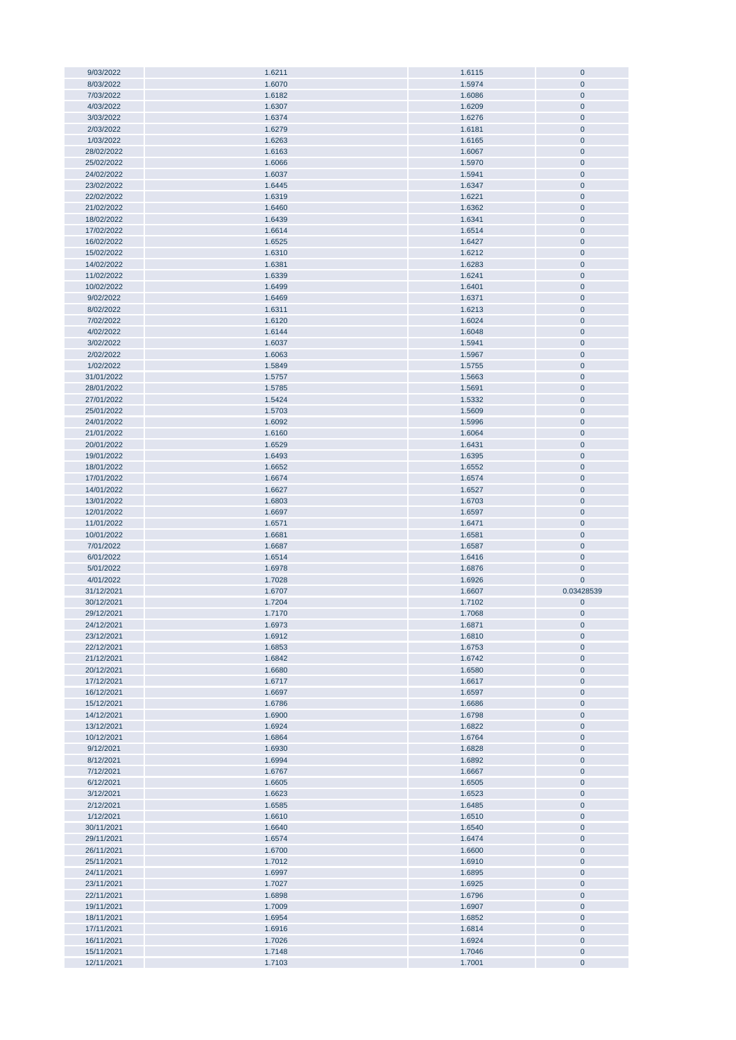| 9/03/2022                | 1.6211           | 1.6115           | $\mathbf{0}$             |
|--------------------------|------------------|------------------|--------------------------|
| 8/03/2022                | 1.6070           | 1.5974           | $\mathbf{0}$             |
| 7/03/2022                | 1.6182           | 1.6086           | $\mathbf{0}$             |
|                          |                  |                  |                          |
| 4/03/2022                | 1.6307           | 1.6209           | $\mathbf{0}$             |
| 3/03/2022                | 1.6374           | 1.6276           | $\pmb{0}$                |
| 2/03/2022                | 1.6279           | 1.6181           | $\pmb{0}$                |
| 1/03/2022                | 1.6263           | 1.6165           | $\pmb{0}$                |
| 28/02/2022               | 1.6163           | 1.6067           | $\pmb{0}$                |
|                          |                  |                  |                          |
| 25/02/2022               | 1.6066           | 1.5970           | $\pmb{0}$                |
| 24/02/2022               | 1.6037           | 1.5941           | $\pmb{0}$                |
| 23/02/2022               | 1.6445           | 1.6347           | $\pmb{0}$                |
| 22/02/2022               | 1.6319           | 1.6221           | $\pmb{0}$                |
|                          | 1.6460           | 1.6362           | $\mathbf 0$              |
| 21/02/2022               |                  |                  |                          |
| 18/02/2022               | 1.6439           | 1.6341           | $\pmb{0}$                |
| 17/02/2022               | 1.6614           | 1.6514           | $\mathbf 0$              |
| 16/02/2022               | 1.6525           | 1.6427           | $\mathbf 0$              |
| 15/02/2022               | 1.6310           | 1.6212           | $\mathbf 0$              |
| 14/02/2022               |                  |                  |                          |
|                          | 1.6381           | 1.6283           | $\pmb{0}$                |
| 11/02/2022               | 1.6339           | 1.6241           | $\pmb{0}$                |
| 10/02/2022               | 1.6499           | 1.6401           | $\mathbf 0$              |
| 9/02/2022                | 1.6469           | 1.6371           | $\pmb{0}$                |
| 8/02/2022                | 1.6311           | 1.6213           | $\pmb{0}$                |
| 7/02/2022                | 1.6120           |                  | $\pmb{0}$                |
|                          |                  | 1.6024           |                          |
| 4/02/2022                | 1.6144           | 1.6048           | $\mathbf 0$              |
| 3/02/2022                | 1.6037           | 1.5941           | $\pmb{0}$                |
| 2/02/2022                | 1.6063           | 1.5967           | $\pmb{0}$                |
| 1/02/2022                | 1.5849           | 1.5755           | $\pmb{0}$                |
| 31/01/2022               |                  |                  | $\mathbf 0$              |
|                          | 1.5757           | 1.5663           |                          |
| 28/01/2022               | 1.5785           | 1.5691           | $\mathbf{0}$             |
| 27/01/2022               | 1.5424           | 1.5332           | $\pmb{0}$                |
| 25/01/2022               | 1.5703           | 1.5609           | $\pmb{0}$                |
| 24/01/2022               | 1.6092           | 1.5996           | $\pmb{0}$                |
|                          |                  |                  |                          |
| 21/01/2022               | 1.6160           | 1.6064           | $\pmb{0}$                |
| 20/01/2022               | 1.6529           | 1.6431           | $\pmb{0}$                |
| 19/01/2022               | 1.6493           | 1.6395           | $\pmb{0}$                |
| 18/01/2022               | 1.6652           | 1.6552           | $\mathbf 0$              |
| 17/01/2022               | 1.6674           | 1.6574           | $\pmb{0}$                |
| 14/01/2022               | 1.6627           | 1.6527           | $\pmb{0}$                |
|                          |                  |                  |                          |
| 13/01/2022               | 1.6803           | 1.6703           | $\mathbf 0$              |
|                          |                  |                  |                          |
| 12/01/2022               | 1.6697           | 1.6597           | $\mathbf 0$              |
| 11/01/2022               | 1.6571           | 1.6471           | $\mathbf 0$              |
|                          |                  |                  |                          |
| 10/01/2022               | 1.6681           | 1.6581           | $\pmb{0}$                |
| 7/01/2022                | 1.6687           | 1.6587           | $\pmb{0}$                |
| 6/01/2022                | 1.6514           | 1.6416           | $\pmb{0}$                |
| 5/01/2022                | 1.6978           | 1.6876           | $\mathbf 0$              |
| 4/01/2022                | 1.7028           | 1.6926           | $\mathbf 0$              |
|                          |                  |                  |                          |
| 31/12/2021               | 1.6707           | 1.6607           | 0.03428539               |
| 30/12/2021               | 1.7204           | 1.7102           | $\pmb{0}$                |
| 29/12/2021               | 1.7170           | 1.7068           | $\mathbf{0}$             |
| 24/12/2021               | 1.6973           | 1.6871           | $\pmb{0}$                |
| 23/12/2021               | 1.6912           | 1.6810           | $\pmb{0}$                |
|                          |                  |                  |                          |
| 22/12/2021               | 1.6853           | 1.6753           | $\mathbf{0}$             |
| 21/12/2021               | 1.6842           | 1.6742           | $\pmb{0}$                |
| 20/12/2021               | 1.6680           | 1.6580           | $\pmb{0}$                |
| 17/12/2021               | 1.6717           | 1.6617           | $\pmb{0}$                |
| 16/12/2021               | 1.6697           | 1.6597           | $\pmb{0}$                |
| 15/12/2021               | 1.6786           | 1.6686           | $\pmb{0}$                |
|                          |                  |                  |                          |
| 14/12/2021               | 1.6900           | 1.6798           | $\pmb{0}$                |
| 13/12/2021               | 1.6924           | 1.6822           | $\pmb{0}$                |
| 10/12/2021               | 1.6864           | 1.6764           | $\pmb{0}$                |
| 9/12/2021                | 1.6930           | 1.6828           | $\mathbf 0$              |
| 8/12/2021                | 1.6994           | 1.6892           | $\pmb{0}$                |
| 7/12/2021                | 1.6767           | 1.6667           | $\mathbf{0}$             |
|                          |                  |                  |                          |
| 6/12/2021                | 1.6605           | 1.6505           | $\mathbf 0$              |
| 3/12/2021                | 1.6623           | 1.6523           | $\mathbf 0$              |
| 2/12/2021                | 1.6585           | 1.6485           | $\pmb{0}$                |
| 1/12/2021                | 1.6610           | 1.6510           | $\bf{0}$                 |
| 30/11/2021               | 1.6640           | 1.6540           | $\mathbf 0$              |
|                          |                  |                  |                          |
| 29/11/2021               | 1.6574           | 1.6474           | $\pmb{0}$                |
| 26/11/2021               | 1.6700           | 1.6600           | $\pmb{0}$                |
| 25/11/2021               | 1.7012           | 1.6910           | $\pmb{0}$                |
| 24/11/2021               | 1.6997           | 1.6895           | $\mathbf 0$              |
| 23/11/2021               | 1.7027           | 1.6925           | $\pmb{0}$                |
|                          |                  |                  |                          |
| 22/11/2021               | 1.6898           | 1.6796           | $\pmb{0}$                |
| 19/11/2021               | 1.7009           | 1.6907           | $\pmb{0}$                |
| 18/11/2021               | 1.6954           | 1.6852           | $\pmb{0}$                |
| 17/11/2021               | 1.6916           | 1.6814           | $\pmb{0}$                |
| 16/11/2021               | 1.7026           | 1.6924           | $\pmb{0}$                |
|                          |                  |                  |                          |
| 15/11/2021<br>12/11/2021 | 1.7148<br>1.7103 | 1.7046<br>1.7001 | $\pmb{0}$<br>$\mathbf 0$ |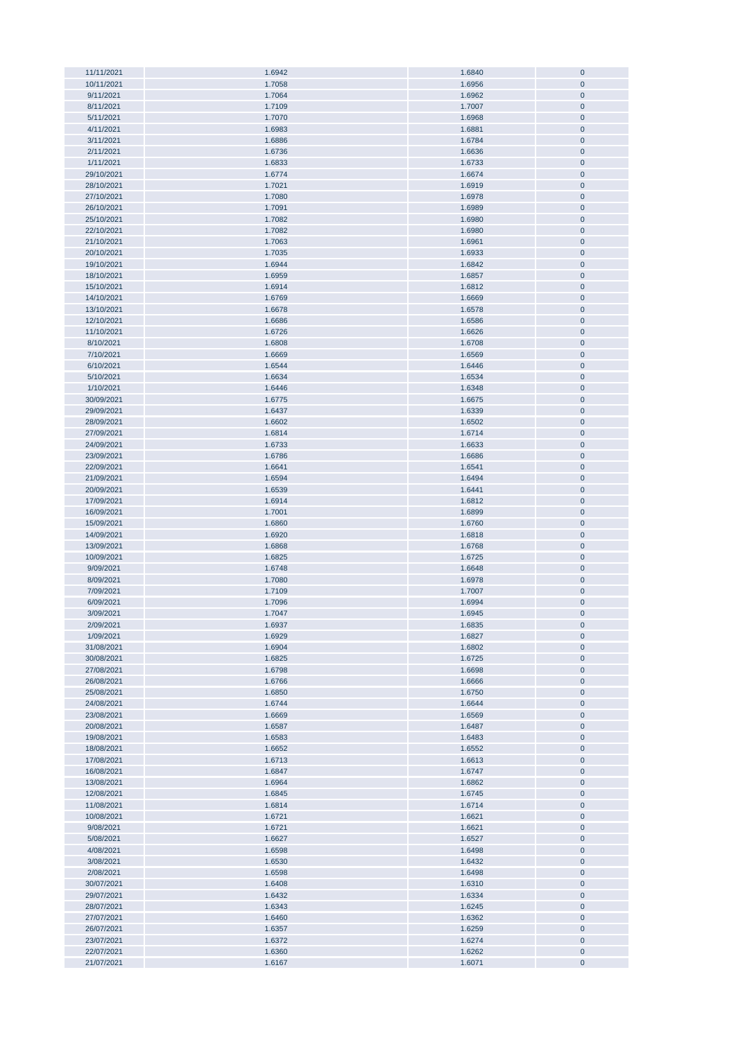| 11/11/2021               | 1.6942           | 1.6840           | $\bf{0}$               |
|--------------------------|------------------|------------------|------------------------|
|                          |                  |                  |                        |
| 10/11/2021               | 1.7058           | 1.6956           | $\mathbf{0}$           |
| 9/11/2021                | 1.7064           | 1.6962           | $\mathbf 0$            |
| 8/11/2021                | 1.7109           | 1.7007           | $\pmb{0}$              |
|                          |                  |                  |                        |
| 5/11/2021                | 1.7070           | 1.6968           | $\pmb{0}$              |
| 4/11/2021                | 1.6983           | 1.6881           | $\pmb{0}$              |
| 3/11/2021                | 1.6886           | 1.6784           | $\pmb{0}$              |
|                          |                  |                  |                        |
| 2/11/2021                | 1.6736           | 1.6636           | $\pmb{0}$              |
| 1/11/2021                | 1.6833           | 1.6733           | $\pmb{0}$              |
| 29/10/2021               | 1.6774           | 1.6674           | $\pmb{0}$              |
|                          |                  |                  |                        |
| 28/10/2021               | 1.7021           | 1.6919           | $\pmb{0}$              |
| 27/10/2021               | 1.7080           | 1.6978           | $\pmb{0}$              |
| 26/10/2021               | 1.7091           | 1.6989           | $\pmb{0}$              |
|                          |                  |                  |                        |
| 25/10/2021               | 1.7082           | 1.6980           | $\pmb{0}$              |
| 22/10/2021               | 1.7082           | 1.6980           | $\pmb{0}$              |
| 21/10/2021               | 1.7063           | 1.6961           | $\pmb{0}$              |
|                          |                  |                  |                        |
| 20/10/2021               | 1.7035           | 1.6933           | $\pmb{0}$              |
| 19/10/2021               | 1.6944           | 1.6842           | $\pmb{0}$              |
| 18/10/2021               | 1.6959           | 1.6857           | $\pmb{0}$              |
| 15/10/2021               | 1.6914           | 1.6812           | $\pmb{0}$              |
|                          |                  |                  |                        |
| 14/10/2021               | 1.6769           | 1.6669           | $\mathbf{0}$           |
| 13/10/2021               | 1.6678           | 1.6578           | $\pmb{0}$              |
| 12/10/2021               | 1.6686           | 1.6586           | $\mathbf 0$            |
|                          |                  |                  |                        |
| 11/10/2021               | 1.6726           | 1.6626           | $\pmb{0}$              |
| 8/10/2021                | 1.6808           | 1.6708           | $\pmb{0}$              |
| 7/10/2021                | 1.6669           | 1.6569           | $\pmb{0}$              |
|                          |                  |                  |                        |
| 6/10/2021                | 1.6544           | 1.6446           | $\pmb{0}$              |
| 5/10/2021                | 1.6634           | 1.6534           | $\pmb{0}$              |
| 1/10/2021                | 1.6446           | 1.6348           | $\pmb{0}$              |
| 30/09/2021               | 1.6775           | 1.6675           | $\pmb{0}$              |
|                          |                  |                  |                        |
| 29/09/2021               | 1.6437           | 1.6339           | $\pmb{0}$              |
| 28/09/2021               | 1.6602           | 1.6502           | $\pmb{0}$              |
| 27/09/2021               | 1.6814           | 1.6714           | $\pmb{0}$              |
|                          |                  |                  |                        |
| 24/09/2021               | 1.6733           | 1.6633           | $\pmb{0}$              |
| 23/09/2021               | 1.6786           | 1.6686           | $\pmb{0}$              |
| 22/09/2021               | 1.6641           | 1.6541           | $\pmb{0}$              |
|                          |                  |                  |                        |
| 21/09/2021               | 1.6594           | 1.6494           | $\pmb{0}$              |
| 20/09/2021               | 1.6539           | 1.6441           | $\pmb{0}$              |
| 17/09/2021               | 1.6914           | 1.6812           | $\pmb{0}$              |
| 16/09/2021               | 1.7001           | 1.6899           | $\pmb{0}$              |
|                          |                  |                  |                        |
| 15/09/2021               | 1.6860           | 1.6760           | $\pmb{0}$              |
| 14/09/2021               | 1.6920           | 1.6818           | $\pmb{0}$              |
| 13/09/2021               | 1.6868           | 1.6768           | $\pmb{0}$              |
|                          |                  |                  |                        |
| 10/09/2021               | 1.6825           | 1.6725           | $\pmb{0}$              |
| 9/09/2021                | 1.6748           | 1.6648           | $\mathbf 0$            |
| 8/09/2021                | 1.7080           | 1.6978           | $\pmb{0}$              |
|                          |                  |                  |                        |
| 7/09/2021                | 1.7109           | 1.7007           | $\pmb{0}$              |
| 6/09/2021                | 1.7096           | 1.6994           | $\pmb{0}$              |
| 3/09/2021                | 1.7047           | 1.6945           | $\mathbf{0}$           |
|                          |                  |                  | $\mathbf 0$            |
| 2/09/2021                | 1.6937           | 1.6835           |                        |
| 1/09/2021                | 1.6929           | 1.6827           | $\pmb{0}$              |
| 31/08/2021               | 1.6904           | 1.6802           | $\pmb{0}$              |
| 30/08/2021               | 1.6825           |                  |                        |
|                          |                  |                  |                        |
| 27/08/2021               |                  | 1.6725           | $\pmb{0}$              |
|                          | 1.6798           | 1.6698           | $\pmb{0}$              |
| 26/08/2021               | 1.6766           | 1.6666           | $\pmb{0}$              |
| 25/08/2021               |                  |                  | $\pmb{0}$              |
|                          | 1.6850           | 1.6750           |                        |
| 24/08/2021               | 1.6744           | 1.6644           | $\pmb{0}$              |
| 23/08/2021               | 1.6669           | 1.6569           | $\pmb{0}$              |
| 20/08/2021               | 1.6587           | 1.6487           | $\pmb{0}$              |
|                          |                  |                  |                        |
| 19/08/2021               | 1.6583           | 1.6483           | $\pmb{0}$              |
| 18/08/2021               | 1.6652           | 1.6552           | $\pmb{0}$              |
| 17/08/2021               | 1.6713           | 1.6613           | $\pmb{0}$              |
| 16/08/2021               | 1.6847           | 1.6747           | $\pmb{0}$              |
|                          |                  |                  |                        |
| 13/08/2021               | 1.6964           | 1.6862           | $\pmb{0}$              |
| 12/08/2021               | 1.6845           | 1.6745           | $\pmb{0}$              |
| 11/08/2021               | 1.6814           | 1.6714           | $\pmb{0}$              |
|                          |                  |                  |                        |
| 10/08/2021               | 1.6721           | 1.6621           | $\pmb{0}$              |
| 9/08/2021                | 1.6721           | 1.6621           | $\pmb{0}$              |
| 5/08/2021                | 1.6627           | 1.6527           | $\bf{0}$               |
| 4/08/2021                | 1.6598           | 1.6498           | $\pmb{0}$              |
|                          |                  |                  |                        |
| 3/08/2021                | 1.6530           | 1.6432           | $\bf{0}$               |
| 2/08/2021                | 1.6598           | 1.6498           | $\pmb{0}$              |
| 30/07/2021               | 1.6408           | 1.6310           | $\pmb{0}$              |
|                          |                  |                  |                        |
| 29/07/2021               | 1.6432           | 1.6334           | $\pmb{0}$              |
| 28/07/2021               | 1.6343           | 1.6245           | $\pmb{0}$              |
| 27/07/2021               | 1.6460           | 1.6362           | $\pmb{0}$              |
| 26/07/2021               | 1.6357           | 1.6259           | $\pmb{0}$              |
|                          |                  |                  |                        |
| 23/07/2021               | 1.6372           | 1.6274           | $\pmb{0}$              |
| 22/07/2021<br>21/07/2021 | 1.6360<br>1.6167 | 1.6262<br>1.6071 | $\pmb{0}$<br>$\pmb{0}$ |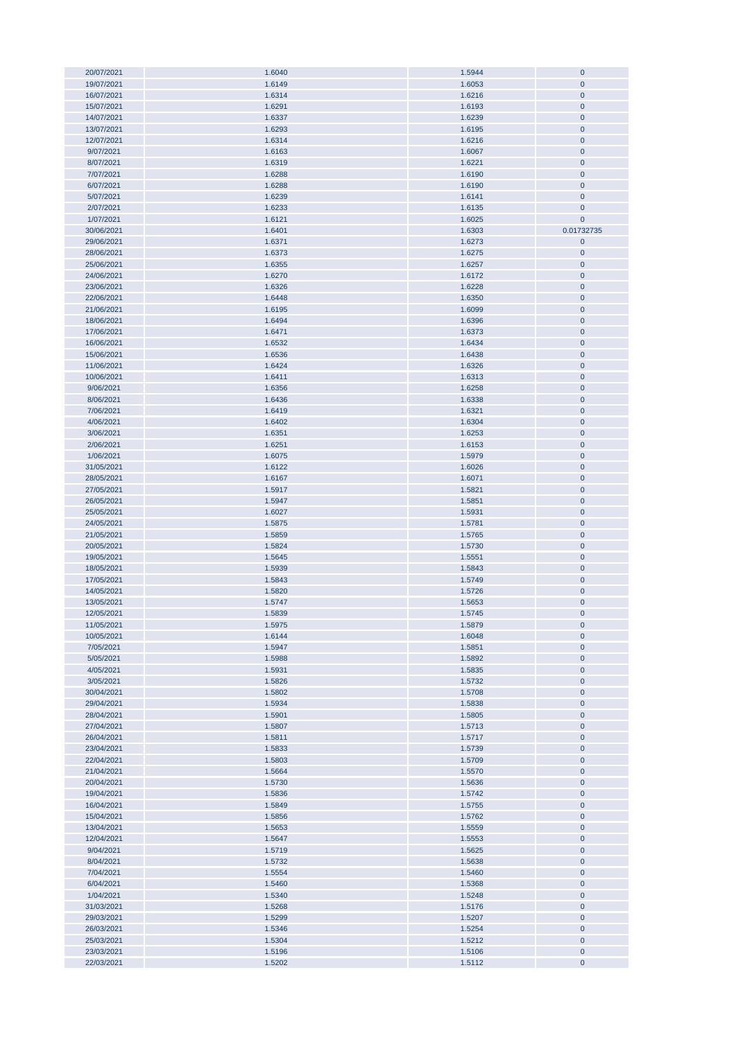| 20/07/2021 | 1.6040 | 1.5944 | $\mathbf 0$  |
|------------|--------|--------|--------------|
|            |        |        | $\pmb{0}$    |
| 19/07/2021 | 1.6149 | 1.6053 |              |
| 16/07/2021 | 1.6314 | 1.6216 | $\pmb{0}$    |
| 15/07/2021 | 1.6291 | 1.6193 | $\pmb{0}$    |
| 14/07/2021 | 1.6337 | 1.6239 | $\pmb{0}$    |
|            |        |        |              |
| 13/07/2021 | 1.6293 | 1.6195 | $\pmb{0}$    |
| 12/07/2021 | 1.6314 | 1.6216 | $\pmb{0}$    |
| 9/07/2021  | 1.6163 | 1.6067 | $\pmb{0}$    |
| 8/07/2021  | 1.6319 | 1.6221 | $\pmb{0}$    |
|            |        |        |              |
| 7/07/2021  | 1.6288 | 1.6190 | $\pmb{0}$    |
| 6/07/2021  | 1.6288 | 1.6190 | $\mathbf 0$  |
| 5/07/2021  | 1.6239 | 1.6141 | $\mathbf 0$  |
| 2/07/2021  | 1.6233 | 1.6135 | $\pmb{0}$    |
|            |        |        |              |
| 1/07/2021  | 1.6121 | 1.6025 | $\pmb{0}$    |
| 30/06/2021 | 1.6401 | 1.6303 | 0.01732735   |
| 29/06/2021 | 1.6371 | 1.6273 | $\pmb{0}$    |
| 28/06/2021 | 1.6373 | 1.6275 | $\pmb{0}$    |
|            |        |        |              |
| 25/06/2021 | 1.6355 | 1.6257 | $\pmb{0}$    |
| 24/06/2021 | 1.6270 | 1.6172 | $\pmb{0}$    |
| 23/06/2021 | 1.6326 | 1.6228 | $\pmb{0}$    |
| 22/06/2021 | 1.6448 | 1.6350 | $\pmb{0}$    |
|            |        |        |              |
| 21/06/2021 | 1.6195 | 1.6099 | $\pmb{0}$    |
| 18/06/2021 | 1.6494 | 1.6396 | $\pmb{0}$    |
| 17/06/2021 | 1.6471 | 1.6373 | $\mathbf 0$  |
| 16/06/2021 | 1.6532 | 1.6434 | $\pmb{0}$    |
|            |        |        |              |
| 15/06/2021 | 1.6536 | 1.6438 | $\pmb{0}$    |
| 11/06/2021 | 1.6424 | 1.6326 | $\pmb{0}$    |
| 10/06/2021 | 1.6411 | 1.6313 | $\pmb{0}$    |
| 9/06/2021  | 1.6356 | 1.6258 | $\pmb{0}$    |
|            |        |        |              |
| 8/06/2021  | 1.6436 | 1.6338 | $\pmb{0}$    |
| 7/06/2021  | 1.6419 | 1.6321 | $\pmb{0}$    |
| 4/06/2021  | 1.6402 | 1.6304 | $\pmb{0}$    |
| 3/06/2021  | 1.6351 | 1.6253 | $\mathbf 0$  |
|            |        |        |              |
| 2/06/2021  | 1.6251 | 1.6153 | $\pmb{0}$    |
| 1/06/2021  | 1.6075 | 1.5979 | $\pmb{0}$    |
| 31/05/2021 | 1.6122 | 1.6026 | $\mathbf 0$  |
| 28/05/2021 | 1.6167 | 1.6071 | $\pmb{0}$    |
|            |        |        |              |
| 27/05/2021 | 1.5917 | 1.5821 | $\pmb{0}$    |
| 26/05/2021 | 1.5947 | 1.5851 | $\pmb{0}$    |
| 25/05/2021 | 1.6027 | 1.5931 | $\pmb{0}$    |
| 24/05/2021 | 1.5875 | 1.5781 | $\pmb{0}$    |
|            |        |        |              |
| 21/05/2021 | 1.5859 | 1.5765 | $\pmb{0}$    |
| 20/05/2021 | 1.5824 | 1.5730 | $\pmb{0}$    |
| 19/05/2021 | 1.5645 | 1.5551 | $\pmb{0}$    |
| 18/05/2021 | 1.5939 | 1.5843 | $\pmb{0}$    |
|            |        |        |              |
| 17/05/2021 | 1.5843 | 1.5749 | $\pmb{0}$    |
| 14/05/2021 | 1.5820 | 1.5726 | $\pmb{0}$    |
| 13/05/2021 | 1.5747 | 1.5653 | $\mathbf 0$  |
| 12/05/2021 | 1.5839 | 1.5745 | $\pmb{0}$    |
|            |        |        |              |
| 11/05/2021 | 1.5975 | 1.5879 | $\mathbf{0}$ |
| 10/05/2021 | 1.6144 | 1.6048 | $\pmb{0}$    |
| 7/05/2021  | 1.5947 | 1.5851 | $\pmb{0}$    |
| 5/05/2021  | 1.5988 | 1.5892 | $\pmb{0}$    |
|            |        |        |              |
| 4/05/2021  | 1.5931 | 1.5835 | $\pmb{0}$    |
| 3/05/2021  | 1.5826 | 1.5732 | $\pmb{0}$    |
| 30/04/2021 | 1.5802 | 1.5708 | $\pmb{0}$    |
| 29/04/2021 | 1.5934 | 1.5838 | $\pmb{0}$    |
|            |        |        |              |
| 28/04/2021 | 1.5901 | 1.5805 | $\pmb{0}$    |
| 27/04/2021 | 1.5807 | 1.5713 | $\pmb{0}$    |
| 26/04/2021 | 1.5811 | 1.5717 | $\pmb{0}$    |
| 23/04/2021 | 1.5833 | 1.5739 | $\pmb{0}$    |
| 22/04/2021 | 1.5803 | 1.5709 | $\pmb{0}$    |
|            |        |        |              |
| 21/04/2021 | 1.5664 | 1.5570 | $\pmb{0}$    |
| 20/04/2021 | 1.5730 | 1.5636 | $\pmb{0}$    |
| 19/04/2021 | 1.5836 | 1.5742 | $\pmb{0}$    |
| 16/04/2021 | 1.5849 | 1.5755 | $\pmb{0}$    |
|            |        |        |              |
| 15/04/2021 | 1.5856 | 1.5762 | $\pmb{0}$    |
| 13/04/2021 | 1.5653 | 1.5559 | $\pmb{0}$    |
| 12/04/2021 | 1.5647 | 1.5553 | $\pmb{0}$    |
| 9/04/2021  | 1.5719 | 1.5625 | $\pmb{0}$    |
|            |        |        |              |
| 8/04/2021  | 1.5732 | 1.5638 | $\pmb{0}$    |
| 7/04/2021  | 1.5554 | 1.5460 | 0            |
| 6/04/2021  | 1.5460 | 1.5368 | $\pmb{0}$    |
| 1/04/2021  | 1.5340 | 1.5248 | $\pmb{0}$    |
|            |        |        |              |
| 31/03/2021 | 1.5268 | 1.5176 | $\pmb{0}$    |
| 29/03/2021 | 1.5299 | 1.5207 | $\pmb{0}$    |
| 26/03/2021 | 1.5346 | 1.5254 | $\pmb{0}$    |
| 25/03/2021 | 1.5304 | 1.5212 | $\pmb{0}$    |
|            |        |        |              |
| 23/03/2021 | 1.5196 | 1.5106 | $\pmb{0}$    |
| 22/03/2021 | 1.5202 | 1.5112 | $\pmb{0}$    |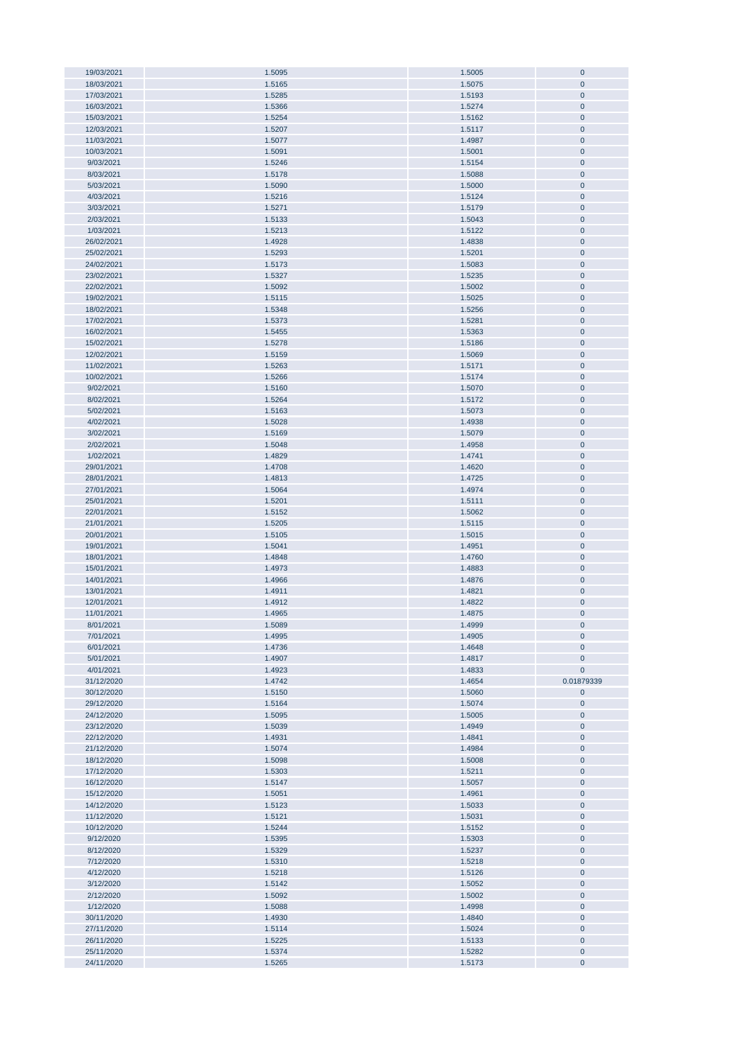| 19/03/2021               | 1.5095           | 1.5005           | $\pmb{0}$              |
|--------------------------|------------------|------------------|------------------------|
| 18/03/2021               | 1.5165           | 1.5075           | $\overline{0}$         |
| 17/03/2021               | 1.5285           | 1.5193           | $\mathbf{0}$           |
|                          |                  |                  |                        |
| 16/03/2021               | 1.5366           | 1.5274           | $\pmb{0}$              |
| 15/03/2021               | 1.5254           | 1.5162           | $\pmb{0}$              |
| 12/03/2021               | 1.5207           | 1.5117           | $\pmb{0}$              |
|                          |                  |                  |                        |
| 11/03/2021               | 1.5077           | 1.4987           | $\pmb{0}$              |
| 10/03/2021               | 1.5091           | 1.5001           | $\pmb{0}$              |
| 9/03/2021                | 1.5246           | 1.5154           | $\pmb{0}$              |
|                          |                  |                  |                        |
| 8/03/2021                | 1.5178           | 1.5088           | $\pmb{0}$              |
| 5/03/2021                | 1.5090           | 1.5000           | $\pmb{0}$              |
| 4/03/2021                | 1.5216           | 1.5124           | $\pmb{0}$              |
|                          |                  |                  |                        |
| 3/03/2021                | 1.5271           | 1.5179           | $\pmb{0}$              |
| 2/03/2021                | 1.5133           | 1.5043           | $\pmb{0}$              |
| 1/03/2021                | 1.5213           | 1.5122           | $\overline{0}$         |
|                          |                  |                  |                        |
| 26/02/2021               | 1.4928           | 1.4838           | $\pmb{0}$              |
| 25/02/2021               | 1.5293           | 1.5201           | $\pmb{0}$              |
| 24/02/2021               | 1.5173           | 1.5083           | $\pmb{0}$              |
|                          |                  |                  |                        |
| 23/02/2021               | 1.5327           | 1.5235           | $\overline{0}$         |
| 22/02/2021               | 1.5092           | 1.5002           | $\overline{0}$         |
| 19/02/2021               | 1.5115           | 1.5025           | $\pmb{0}$              |
|                          |                  |                  |                        |
| 18/02/2021               | 1.5348           | 1.5256           | $\pmb{0}$              |
| 17/02/2021               | 1.5373           | 1.5281           | $\mathbf 0$            |
| 16/02/2021               | 1.5455           | 1.5363           | $\overline{0}$         |
| 15/02/2021               | 1.5278           | 1.5186           | $\pmb{0}$              |
|                          |                  |                  |                        |
| 12/02/2021               | 1.5159           | 1.5069           | $\pmb{0}$              |
| 11/02/2021               | 1.5263           | 1.5171           | $\pmb{0}$              |
| 10/02/2021               | 1.5266           | 1.5174           | $\mathbf{0}$           |
|                          |                  |                  |                        |
| 9/02/2021                | 1.5160           | 1.5070           | $\pmb{0}$              |
| 8/02/2021                | 1.5264           | 1.5172           | $\pmb{0}$              |
| 5/02/2021                | 1.5163           | 1.5073           | $\pmb{0}$              |
|                          |                  |                  |                        |
| 4/02/2021                | 1.5028           | 1.4938           | $\pmb{0}$              |
| 3/02/2021                | 1.5169           | 1.5079           | $\pmb{0}$              |
| 2/02/2021                | 1.5048           | 1.4958           | $\pmb{0}$              |
|                          |                  |                  |                        |
| 1/02/2021                | 1.4829           | 1.4741           | $\pmb{0}$              |
| 29/01/2021               | 1.4708           | 1.4620           | $\pmb{0}$              |
| 28/01/2021               | 1.4813           | 1.4725           | $\pmb{0}$              |
| 27/01/2021               | 1.5064           | 1.4974           | $\pmb{0}$              |
|                          |                  |                  |                        |
| 25/01/2021               | 1.5201           | 1.5111           | $\pmb{0}$              |
| 22/01/2021               | 1.5152           | 1.5062           | $\mathbf{0}$           |
| 21/01/2021               | 1.5205           | 1.5115           | $\pmb{0}$              |
|                          |                  |                  |                        |
| 20/01/2021               | 1.5105           | 1.5015           | $\overline{0}$         |
| 19/01/2021               | 1.5041           | 1.4951           | $\pmb{0}$              |
| 18/01/2021               | 1.4848           | 1.4760           | $\pmb{0}$              |
|                          |                  |                  |                        |
| 15/01/2021               | 1.4973           | 1.4883           | $\pmb{0}$              |
| 14/01/2021               | 1.4966           | 1.4876           | $\pmb{0}$              |
| 13/01/2021               | 1.4911           | 1.4821           | $\pmb{0}$              |
| 12/01/2021               | 1.4912           | 1.4822           | $\pmb{0}$              |
|                          |                  |                  |                        |
| 11/01/2021               | 1.4965           | 1.4875           | $\mathbf 0$            |
| 8/01/2021                | 1.5089           | 1.4999           | $\bf{0}$               |
| 7/01/2021                | 1.4995           | 1.4905           | $\bf 0$                |
|                          |                  |                  |                        |
| 6/01/2021                | 1.4736           | 1.4648           | $\pmb{0}$              |
| 5/01/2021                | 1.4907           | 1.4817           | $\pmb{0}$              |
| 4/01/2021                | 1.4923           | 1.4833           | $\pmb{0}$              |
|                          |                  |                  |                        |
| 31/12/2020               | 1.4742           | 1.4654           | 0.01879339             |
| 30/12/2020               | 1.5150           | 1.5060           | $\pmb{0}$              |
| 29/12/2020               | 1.5164           |                  |                        |
| 24/12/2020               |                  | 1.5074           | $\pmb{0}$              |
|                          |                  |                  |                        |
|                          | 1.5095           | 1.5005           | $\bf{0}$               |
| 23/12/2020               | 1.5039           | 1.4949           | $\bf{0}$               |
| 22/12/2020               | 1.4931           | 1.4841           | $\pmb{0}$              |
|                          |                  | 1.4984           |                        |
| 21/12/2020               | 1.5074           |                  | $\pmb{0}$              |
| 18/12/2020               | 1.5098           | 1.5008           | $\bf{0}$               |
| 17/12/2020               | 1.5303           | 1.5211           | $\pmb{0}$              |
| 16/12/2020               | 1.5147           | 1.5057           | $\bf{0}$               |
|                          |                  |                  |                        |
| 15/12/2020               | 1.5051           | 1.4961           | $\pmb{0}$              |
| 14/12/2020               | 1.5123           | 1.5033           | $\bf{0}$               |
| 11/12/2020               | 1.5121           | 1.5031           | $\bf{0}$               |
| 10/12/2020               | 1.5244           |                  | $\pmb{0}$              |
|                          |                  | 1.5152           |                        |
| 9/12/2020                | 1.5395           | 1.5303           | $\pmb{0}$              |
| 8/12/2020                | 1.5329           | 1.5237           | $\pmb{0}$              |
|                          |                  |                  | $\overline{0}$         |
| 7/12/2020                | 1.5310           | 1.5218           |                        |
| 4/12/2020                | 1.5218           | 1.5126           | $\pmb{0}$              |
| 3/12/2020                | 1.5142           | 1.5052           | $\pmb{0}$              |
| 2/12/2020                | 1.5092           | 1.5002           | $\pmb{0}$              |
|                          |                  |                  |                        |
| 1/12/2020                | 1.5088           | 1.4998           | $\pmb{0}$              |
| 30/11/2020               | 1.4930           | 1.4840           | $\pmb{0}$              |
| 27/11/2020               | 1.5114           | 1.5024           | $\pmb{0}$              |
|                          |                  |                  |                        |
| 26/11/2020               | 1.5225           | 1.5133           | $\pmb{0}$              |
| 25/11/2020<br>24/11/2020 | 1.5374<br>1.5265 | 1.5282<br>1.5173 | $\pmb{0}$<br>$\pmb{0}$ |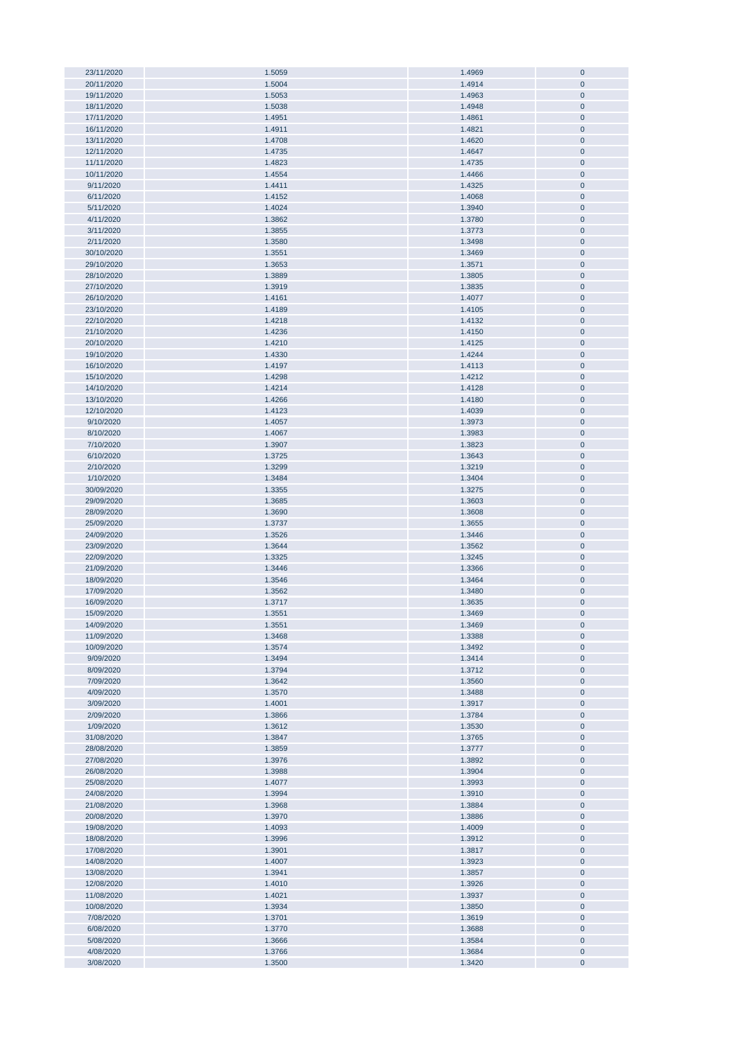| 23/11/2020<br>20/11/2020 |                  | 1.4969           | $\bf{0}$               |
|--------------------------|------------------|------------------|------------------------|
|                          | 1.5059           |                  |                        |
|                          | 1.5004           | 1.4914           | $\pmb{0}$              |
| 19/11/2020               | 1.5053           | 1.4963           | $\pmb{0}$              |
| 18/11/2020               | 1.5038           | 1.4948           | $\pmb{0}$              |
|                          |                  |                  |                        |
| 17/11/2020               | 1.4951           | 1.4861           | $\pmb{0}$              |
| 16/11/2020               | 1.4911           | 1.4821           | $\pmb{0}$              |
| 13/11/2020               | 1.4708           | 1.4620           | $\pmb{0}$              |
|                          |                  |                  |                        |
| 12/11/2020               | 1.4735           | 1.4647           | $\pmb{0}$              |
| 11/11/2020               | 1.4823           | 1.4735           | $\pmb{0}$              |
| 10/11/2020               | 1.4554           | 1.4466           | $\pmb{0}$              |
|                          |                  |                  |                        |
| 9/11/2020                | 1.4411           | 1.4325           | $\pmb{0}$              |
| 6/11/2020                | 1.4152           | 1.4068           | $\pmb{0}$              |
| 5/11/2020                | 1.4024           | 1.3940           | $\pmb{0}$              |
|                          |                  |                  |                        |
| 4/11/2020                | 1.3862           | 1.3780           | $\pmb{0}$              |
| 3/11/2020                | 1.3855           | 1.3773           | $\pmb{0}$              |
| 2/11/2020                | 1.3580           | 1.3498           | $\pmb{0}$              |
|                          |                  |                  |                        |
| 30/10/2020               | 1.3551           | 1.3469           | $\pmb{0}$              |
| 29/10/2020               | 1.3653           | 1.3571           | $\pmb{0}$              |
| 28/10/2020               | 1.3889           | 1.3805           | $\pmb{0}$              |
|                          |                  |                  |                        |
| 27/10/2020               | 1.3919           | 1.3835           | $\pmb{0}$              |
| 26/10/2020               | 1.4161           | 1.4077           | $\bf{0}$               |
| 23/10/2020               | 1.4189           | 1.4105           | $\pmb{0}$              |
| 22/10/2020               | 1.4218           | 1.4132           | $\bf{0}$               |
|                          |                  |                  |                        |
| 21/10/2020               | 1.4236           | 1.4150           | $\pmb{0}$              |
| 20/10/2020               | 1.4210           | 1.4125           | $\bf{0}$               |
| 19/10/2020               | 1.4330           | 1.4244           | $\pmb{0}$              |
|                          |                  |                  |                        |
| 16/10/2020               | 1.4197           | 1.4113           | $\pmb{0}$              |
| 15/10/2020               | 1.4298           | 1.4212           | $\pmb{0}$              |
| 14/10/2020               | 1.4214           | 1.4128           | $\pmb{0}$              |
|                          |                  |                  |                        |
| 13/10/2020               | 1.4266           | 1.4180           | $\pmb{0}$              |
| 12/10/2020               | 1.4123           | 1.4039           | $\pmb{0}$              |
| 9/10/2020                | 1.4057           | 1.3973           | $\pmb{0}$              |
| 8/10/2020                |                  |                  | $\pmb{0}$              |
|                          | 1.4067           | 1.3983           |                        |
| 7/10/2020                | 1.3907           | 1.3823           | $\pmb{0}$              |
| 6/10/2020                | 1.3725           | 1.3643           | $\pmb{0}$              |
| 2/10/2020                | 1.3299           | 1.3219           | $\pmb{0}$              |
|                          |                  |                  |                        |
| 1/10/2020                | 1.3484           | 1.3404           | $\pmb{0}$              |
| 30/09/2020               | 1.3355           | 1.3275           | $\pmb{0}$              |
| 29/09/2020               | 1.3685           | 1.3603           | $\pmb{0}$              |
|                          |                  |                  |                        |
| 28/09/2020               | 1.3690           | 1.3608           | $\pmb{0}$              |
| 25/09/2020               | 1.3737           | 1.3655           | $\pmb{0}$              |
| 24/09/2020               | 1.3526           | 1.3446           | $\pmb{0}$              |
| 23/09/2020               | 1.3644           | 1.3562           | $\pmb{0}$              |
|                          |                  |                  |                        |
| 22/09/2020               | 1.3325           | 1.3245           | $\pmb{0}$              |
| 21/09/2020               | 1.3446           | 1.3366           | $\bf{0}$               |
| 18/09/2020               | 1.3546           | 1.3464           | $\bf{0}$               |
|                          |                  |                  |                        |
|                          | 1.3562           |                  |                        |
| 17/09/2020               |                  | 1.3480           | $\pmb{0}$              |
| 16/09/2020               | 1.3717           | 1.3635           | $\pmb{0}$              |
|                          |                  |                  |                        |
| 15/09/2020               | 1.3551           | 1.3469           | $\mathbf 0$            |
| 14/09/2020               | 1.3551           | 1.3469           | $\mathbf 0$            |
| 11/09/2020               | 1.3468           | 1.3388           | $\pmb{0}$              |
| 10/09/2020               | 1.3574           | 1.3492           | $\pmb{0}$              |
|                          |                  |                  |                        |
| 9/09/2020                | 1.3494           | 1.3414           | $\pmb{0}$              |
| 8/09/2020                | 1.3794           | 1.3712           | $\pmb{0}$              |
| 7/09/2020                | 1.3642           | 1.3560           | $\pmb{0}$              |
| 4/09/2020                | 1.3570           | 1.3488           | $\pmb{0}$              |
|                          |                  |                  |                        |
| 3/09/2020                | 1.4001           | 1.3917           | $\pmb{0}$              |
| 2/09/2020                | 1.3866           | 1.3784           | $\pmb{0}$              |
| 1/09/2020                | 1.3612           | 1.3530           | $\pmb{0}$              |
|                          |                  |                  |                        |
| 31/08/2020               | 1.3847           | 1.3765           | $\pmb{0}$              |
| 28/08/2020               | 1.3859           | 1.3777           | $\pmb{0}$              |
| 27/08/2020               | 1.3976           | 1.3892           | $\pmb{0}$              |
| 26/08/2020               | 1.3988           | 1.3904           | $\pmb{0}$              |
|                          |                  |                  |                        |
| 25/08/2020               | 1.4077           | 1.3993           | $\pmb{0}$              |
| 24/08/2020               | 1.3994           | 1.3910           | $\pmb{0}$              |
| 21/08/2020               | 1.3968           | 1.3884           | $\pmb{0}$              |
|                          |                  |                  |                        |
| 20/08/2020               | 1.3970           | 1.3886           | $\pmb{0}$              |
| 19/08/2020               | 1.4093           | 1.4009           | $\pmb{0}$              |
| 18/08/2020               | 1.3996           | 1.3912           | $\bf{0}$               |
| 17/08/2020               | 1.3901           | 1.3817           | $\pmb{0}$              |
|                          |                  |                  |                        |
| 14/08/2020               | 1.4007           | 1.3923           | $\bf{0}$               |
| 13/08/2020               | 1.3941           | 1.3857           | $\pmb{0}$              |
| 12/08/2020               | 1.4010           | 1.3926           | $\pmb{0}$              |
|                          |                  |                  |                        |
| 11/08/2020               | 1.4021           | 1.3937           | $\pmb{0}$              |
| 10/08/2020               | 1.3934           | 1.3850           | $\pmb{0}$              |
| 7/08/2020                | 1.3701           | 1.3619           | $\pmb{0}$              |
| 6/08/2020                |                  |                  | $\pmb{0}$              |
|                          | 1.3770           | 1.3688           |                        |
| 5/08/2020                | 1.3666           | 1.3584           | $\pmb{0}$              |
| 4/08/2020<br>3/08/2020   | 1.3766<br>1.3500 | 1.3684<br>1.3420 | $\pmb{0}$<br>$\pmb{0}$ |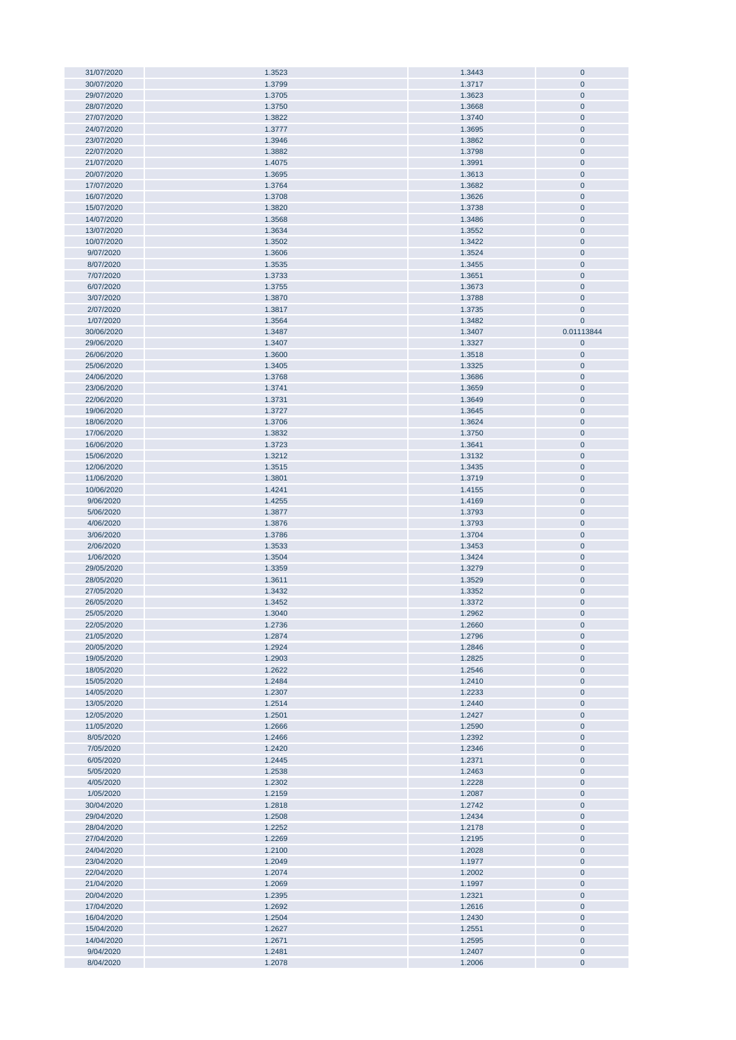| 31/07/2020 | 1.3523 | 1.3443 | $\pmb{0}$      |
|------------|--------|--------|----------------|
| 30/07/2020 | 1.3799 | 1.3717 | $\mathbf 0$    |
|            |        |        | $\mathbf 0$    |
| 29/07/2020 | 1.3705 | 1.3623 |                |
| 28/07/2020 | 1.3750 | 1.3668 | $\pmb{0}$      |
| 27/07/2020 | 1.3822 | 1.3740 | $\pmb{0}$      |
|            |        |        |                |
| 24/07/2020 | 1.3777 | 1.3695 | $\pmb{0}$      |
| 23/07/2020 | 1.3946 | 1.3862 | $\pmb{0}$      |
| 22/07/2020 | 1.3882 | 1.3798 | $\pmb{0}$      |
|            |        |        |                |
| 21/07/2020 | 1.4075 | 1.3991 | $\pmb{0}$      |
| 20/07/2020 | 1.3695 | 1.3613 | $\pmb{0}$      |
| 17/07/2020 | 1.3764 | 1.3682 | $\pmb{0}$      |
|            |        |        |                |
| 16/07/2020 | 1.3708 | 1.3626 | $\pmb{0}$      |
| 15/07/2020 | 1.3820 | 1.3738 | $\pmb{0}$      |
| 14/07/2020 | 1.3568 | 1.3486 | $\pmb{0}$      |
| 13/07/2020 |        | 1.3552 |                |
|            | 1.3634 |        | $\pmb{0}$      |
| 10/07/2020 | 1.3502 | 1.3422 | $\pmb{0}$      |
| 9/07/2020  | 1.3606 | 1.3524 | $\pmb{0}$      |
|            |        |        |                |
| 8/07/2020  | 1.3535 | 1.3455 | $\pmb{0}$      |
| 7/07/2020  | 1.3733 | 1.3651 | $\overline{0}$ |
| 6/07/2020  | 1.3755 | 1.3673 | $\overline{0}$ |
|            |        |        |                |
| 3/07/2020  | 1.3870 | 1.3788 | $\pmb{0}$      |
| 2/07/2020  | 1.3817 | 1.3735 | $\mathbf 0$    |
| 1/07/2020  | 1.3564 | 1.3482 | $\mathbf 0$    |
| 30/06/2020 | 1.3487 | 1.3407 | 0.01113844     |
|            |        |        |                |
| 29/06/2020 | 1.3407 | 1.3327 | $\pmb{0}$      |
| 26/06/2020 | 1.3600 | 1.3518 | $\pmb{0}$      |
|            |        |        |                |
| 25/06/2020 | 1.3405 | 1.3325 | $\pmb{0}$      |
| 24/06/2020 | 1.3768 | 1.3686 | $\overline{0}$ |
| 23/06/2020 | 1.3741 | 1.3659 | $\pmb{0}$      |
| 22/06/2020 |        |        |                |
|            | 1.3731 | 1.3649 | $\pmb{0}$      |
| 19/06/2020 | 1.3727 | 1.3645 | $\pmb{0}$      |
| 18/06/2020 | 1.3706 | 1.3624 | $\pmb{0}$      |
|            |        |        |                |
| 17/06/2020 | 1.3832 | 1.3750 | $\pmb{0}$      |
| 16/06/2020 | 1.3723 | 1.3641 | $\pmb{0}$      |
| 15/06/2020 | 1.3212 | 1.3132 | $\pmb{0}$      |
| 12/06/2020 | 1.3515 | 1.3435 | $\pmb{0}$      |
|            |        |        |                |
| 11/06/2020 | 1.3801 | 1.3719 | $\pmb{0}$      |
| 10/06/2020 | 1.4241 | 1.4155 | $\pmb{0}$      |
| 9/06/2020  | 1.4255 | 1.4169 | $\pmb{0}$      |
|            |        |        |                |
| 5/06/2020  | 1.3877 | 1.3793 | $\pmb{0}$      |
| 4/06/2020  | 1.3876 | 1.3793 | $\pmb{0}$      |
| 3/06/2020  | 1.3786 | 1.3704 | $\mathbf 0$    |
|            |        |        |                |
| 2/06/2020  | 1.3533 | 1.3453 | $\pmb{0}$      |
| 1/06/2020  | 1.3504 | 1.3424 | $\pmb{0}$      |
| 29/05/2020 | 1.3359 | 1.3279 | $\pmb{0}$      |
|            |        |        |                |
| 28/05/2020 | 1.3611 | 1.3529 | $\pmb{0}$      |
| 27/05/2020 | 1.3432 | 1.3352 | $\pmb{0}$      |
| 26/05/2020 | 1.3452 | 1.3372 | $\pmb{0}$      |
|            |        |        |                |
| 25/05/2020 | 1.3040 | 1.2962 | $\mathbf 0$    |
| 22/05/2020 | 1.2736 | 1.2660 | $\bf{0}$       |
| 21/05/2020 | 1.2874 | 1.2796 | $\bf 0$        |
|            |        |        |                |
| 20/05/2020 | 1.2924 | 1.2846 | $\pmb{0}$      |
| 19/05/2020 | 1.2903 | 1.2825 | $\pmb{0}$      |
| 18/05/2020 | 1.2622 | 1.2546 | $\pmb{0}$      |
|            |        |        |                |
| 15/05/2020 | 1.2484 | 1.2410 | $\pmb{0}$      |
| 14/05/2020 | 1.2307 | 1.2233 | $\pmb{0}$      |
| 13/05/2020 | 1.2514 | 1.2440 | $\pmb{0}$      |
|            |        |        |                |
| 12/05/2020 | 1.2501 | 1.2427 | $\pmb{0}$      |
| 11/05/2020 | 1.2666 | 1.2590 | $\pmb{0}$      |
| 8/05/2020  | 1.2466 | 1.2392 | $\pmb{0}$      |
|            | 1.2420 |        |                |
| 7/05/2020  |        | 1.2346 | $\pmb{0}$      |
| 6/05/2020  | 1.2445 | 1.2371 | $\bf{0}$       |
| 5/05/2020  | 1.2538 | 1.2463 | $\pmb{0}$      |
| 4/05/2020  | 1.2302 | 1.2228 | $\bf{0}$       |
|            |        |        |                |
| 1/05/2020  | 1.2159 | 1.2087 | $\bf{0}$       |
| 30/04/2020 | 1.2818 | 1.2742 | $\bf{0}$       |
| 29/04/2020 | 1.2508 | 1.2434 | $\bf{0}$       |
|            |        |        |                |
| 28/04/2020 | 1.2252 | 1.2178 | $\pmb{0}$      |
| 27/04/2020 | 1.2269 | 1.2195 | $\bf{0}$       |
| 24/04/2020 | 1.2100 | 1.2028 | $\pmb{0}$      |
|            |        |        |                |
| 23/04/2020 | 1.2049 | 1.1977 | $\mathbf 0$    |
| 22/04/2020 | 1.2074 | 1.2002 | $\pmb{0}$      |
| 21/04/2020 | 1.2069 | 1.1997 | $\pmb{0}$      |
|            |        |        |                |
| 20/04/2020 | 1.2395 | 1.2321 | $\pmb{0}$      |
| 17/04/2020 | 1.2692 | 1.2616 | $\pmb{0}$      |
| 16/04/2020 | 1.2504 | 1.2430 | $\pmb{0}$      |
|            |        |        |                |
| 15/04/2020 | 1.2627 | 1.2551 | $\pmb{0}$      |
| 14/04/2020 | 1.2671 | 1.2595 | $\pmb{0}$      |
| 9/04/2020  | 1.2481 | 1.2407 | $\bf{0}$       |
|            |        |        |                |
| 8/04/2020  | 1.2078 | 1.2006 | $\pmb{0}$      |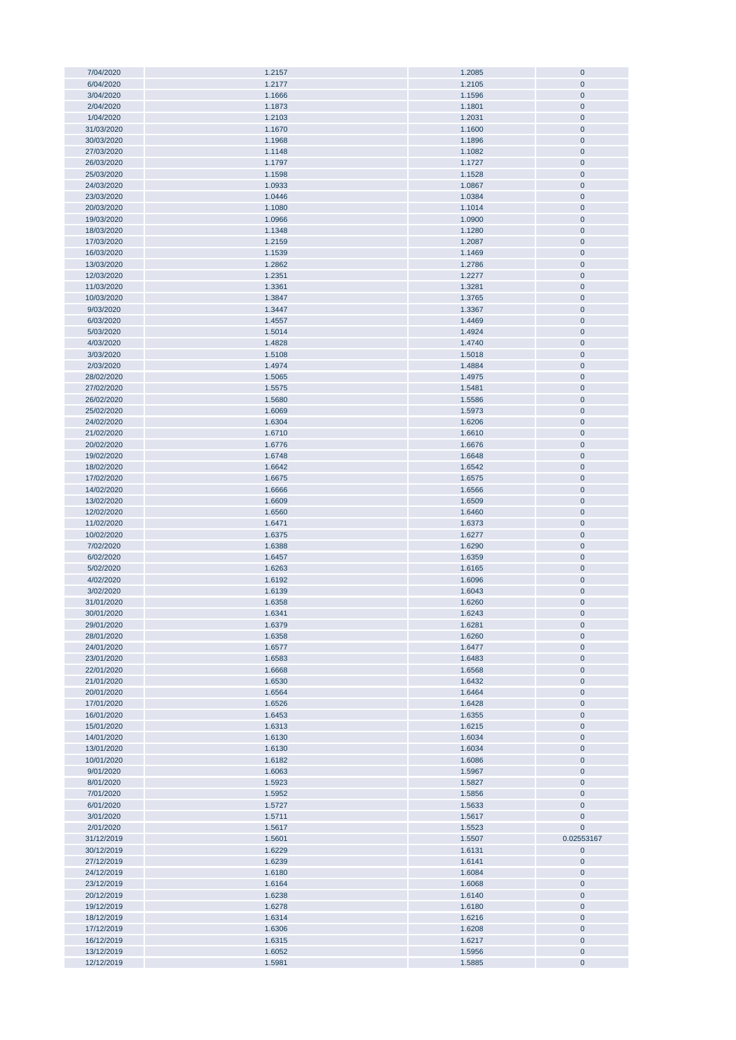| 7/04/2020  | 1.2157 | 1.2085 | $\mathbf 0$ |
|------------|--------|--------|-------------|
|            |        |        | $\pmb{0}$   |
| 6/04/2020  | 1.2177 | 1.2105 |             |
| 3/04/2020  | 1.1666 | 1.1596 | $\pmb{0}$   |
| 2/04/2020  | 1.1873 | 1.1801 | $\pmb{0}$   |
| 1/04/2020  | 1.2103 | 1.2031 | $\pmb{0}$   |
|            |        |        |             |
| 31/03/2020 | 1.1670 | 1.1600 | $\pmb{0}$   |
| 30/03/2020 | 1.1968 | 1.1896 | $\pmb{0}$   |
| 27/03/2020 | 1.1148 | 1.1082 | $\pmb{0}$   |
|            |        |        |             |
| 26/03/2020 | 1.1797 | 1.1727 | $\pmb{0}$   |
| 25/03/2020 | 1.1598 | 1.1528 | $\pmb{0}$   |
| 24/03/2020 | 1.0933 | 1.0867 | $\mathbf 0$ |
|            |        |        |             |
| 23/03/2020 | 1.0446 | 1.0384 | $\mathbf 0$ |
| 20/03/2020 | 1.1080 | 1.1014 | $\pmb{0}$   |
| 19/03/2020 | 1.0966 | 1.0900 | $\pmb{0}$   |
|            |        |        | $\pmb{0}$   |
| 18/03/2020 | 1.1348 | 1.1280 |             |
| 17/03/2020 | 1.2159 | 1.2087 | $\pmb{0}$   |
| 16/03/2020 | 1.1539 | 1.1469 | $\pmb{0}$   |
| 13/03/2020 | 1.2862 | 1.2786 | $\pmb{0}$   |
|            |        |        |             |
| 12/03/2020 | 1.2351 | 1.2277 | $\pmb{0}$   |
| 11/03/2020 | 1.3361 | 1.3281 | $\pmb{0}$   |
| 10/03/2020 | 1.3847 | 1.3765 | $\mathbf 0$ |
| 9/03/2020  | 1.3447 | 1.3367 | 0           |
|            |        |        |             |
| 6/03/2020  | 1.4557 | 1.4469 | $\pmb{0}$   |
| 5/03/2020  | 1.5014 | 1.4924 | $\mathbf 0$ |
| 4/03/2020  | 1.4828 | 1.4740 | $\pmb{0}$   |
| 3/03/2020  |        | 1.5018 | $\pmb{0}$   |
|            | 1.5108 |        |             |
| 2/03/2020  | 1.4974 | 1.4884 | $\pmb{0}$   |
| 28/02/2020 | 1.5065 | 1.4975 | $\pmb{0}$   |
| 27/02/2020 | 1.5575 | 1.5481 | $\pmb{0}$   |
|            |        |        |             |
| 26/02/2020 | 1.5680 | 1.5586 | $\pmb{0}$   |
| 25/02/2020 | 1.6069 | 1.5973 | $\pmb{0}$   |
| 24/02/2020 | 1.6304 | 1.6206 | $\pmb{0}$   |
|            |        |        |             |
| 21/02/2020 | 1.6710 | 1.6610 | $\pmb{0}$   |
| 20/02/2020 | 1.6776 | 1.6676 | $\pmb{0}$   |
| 19/02/2020 | 1.6748 | 1.6648 | $\pmb{0}$   |
| 18/02/2020 | 1.6642 | 1.6542 | $\mathbf 0$ |
|            |        |        |             |
| 17/02/2020 | 1.6675 | 1.6575 | $\mathbf 0$ |
| 14/02/2020 | 1.6666 | 1.6566 | $\mathbf 0$ |
| 13/02/2020 | 1.6609 | 1.6509 | $\pmb{0}$   |
| 12/02/2020 | 1.6560 | 1.6460 | $\pmb{0}$   |
|            |        |        |             |
| 11/02/2020 | 1.6471 | 1.6373 | $\pmb{0}$   |
| 10/02/2020 | 1.6375 | 1.6277 | $\pmb{0}$   |
| 7/02/2020  | 1.6388 | 1.6290 | $\pmb{0}$   |
| 6/02/2020  | 1.6457 | 1.6359 | $\pmb{0}$   |
|            |        |        |             |
| 5/02/2020  | 1.6263 | 1.6165 | 0           |
| 4/02/2020  | 1.6192 | 1.6096 | $\pmb{0}$   |
| 3/02/2020  | 1.6139 | 1.6043 | 0           |
| 31/01/2020 |        |        | $\mathbf 0$ |
|            | 1.6358 | 1.6260 |             |
| 30/01/2020 | 1.6341 | 1.6243 | $\mathbf 0$ |
| 29/01/2020 | 1.6379 | 1.6281 | 0           |
| 28/01/2020 | 1.6358 | 1.6260 | $\pmb{0}$   |
|            |        |        |             |
| 24/01/2020 | 1.6577 | 1.6477 | $\pmb{0}$   |
| 23/01/2020 | 1.6583 | 1.6483 | $\pmb{0}$   |
| 22/01/2020 | 1.6668 | 1.6568 | $\pmb{0}$   |
| 21/01/2020 | 1.6530 | 1.6432 | $\pmb{0}$   |
|            |        |        |             |
| 20/01/2020 | 1.6564 | 1.6464 | $\pmb{0}$   |
| 17/01/2020 | 1.6526 | 1.6428 | $\pmb{0}$   |
| 16/01/2020 | 1.6453 | 1.6355 | $\pmb{0}$   |
| 15/01/2020 | 1.6313 | 1.6215 | $\pmb{0}$   |
|            |        |        |             |
| 14/01/2020 | 1.6130 | 1.6034 | $\pmb{0}$   |
| 13/01/2020 | 1.6130 | 1.6034 | 0           |
| 10/01/2020 | 1.6182 | 1.6086 | $\pmb{0}$   |
|            |        |        |             |
| 9/01/2020  | 1.6063 | 1.5967 | $\pmb{0}$   |
| 8/01/2020  | 1.5923 | 1.5827 | $\pmb{0}$   |
| 7/01/2020  | 1.5952 | 1.5856 | $\pmb{0}$   |
| 6/01/2020  | 1.5727 | 1.5633 | 0           |
|            |        |        |             |
| 3/01/2020  | 1.5711 | 1.5617 | $\pmb{0}$   |
| 2/01/2020  | 1.5617 | 1.5523 | 0           |
| 31/12/2019 | 1.5601 | 1.5507 | 0.02553167  |
| 30/12/2019 | 1.6229 | 1.6131 | $\pmb{0}$   |
|            |        |        |             |
| 27/12/2019 | 1.6239 | 1.6141 | 0           |
| 24/12/2019 | 1.6180 | 1.6084 | 0           |
| 23/12/2019 | 1.6164 | 1.6068 | 0           |
| 20/12/2019 | 1.6238 |        |             |
|            |        | 1.6140 | 0           |
| 19/12/2019 | 1.6278 | 1.6180 | 0           |
| 18/12/2019 | 1.6314 | 1.6216 | $\pmb{0}$   |
| 17/12/2019 | 1.6306 | 1.6208 | $\pmb{0}$   |
|            |        |        |             |
| 16/12/2019 | 1.6315 | 1.6217 | $\pmb{0}$   |
| 13/12/2019 | 1.6052 | 1.5956 | $\pmb{0}$   |
| 12/12/2019 | 1.5981 | 1.5885 | $\pmb{0}$   |
|            |        |        |             |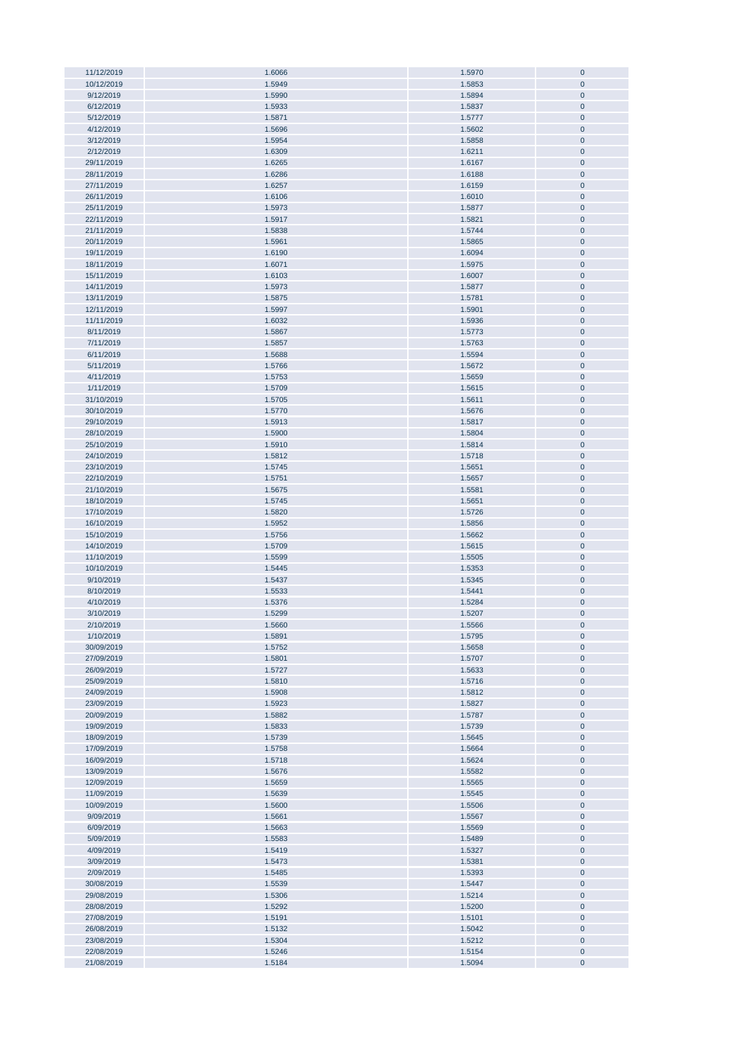| 11/12/2019               | 1.6066           | 1.5970           | $\pmb{0}$              |
|--------------------------|------------------|------------------|------------------------|
| 10/12/2019               | 1.5949           | 1.5853           | $\pmb{0}$              |
| 9/12/2019                | 1.5990           | 1.5894           | $\pmb{0}$              |
|                          | 1.5933           |                  |                        |
| 6/12/2019                |                  | 1.5837           | $\pmb{0}$              |
| 5/12/2019                | 1.5871           | 1.5777           | $\pmb{0}$              |
| 4/12/2019                | 1.5696           | 1.5602           | $\pmb{0}$              |
| 3/12/2019                | 1.5954           | 1.5858           | $\pmb{0}$              |
|                          |                  |                  |                        |
| 2/12/2019                | 1.6309           | 1.6211           | $\pmb{0}$              |
| 29/11/2019               | 1.6265           | 1.6167           | $\pmb{0}$              |
| 28/11/2019               | 1.6286           | 1.6188           | $\pmb{0}$              |
|                          |                  |                  |                        |
| 27/11/2019               | 1.6257           | 1.6159           | $\pmb{0}$              |
| 26/11/2019               | 1.6106           | 1.6010           | $\pmb{0}$              |
| 25/11/2019               | 1.5973           | 1.5877           | $\pmb{0}$              |
|                          |                  |                  |                        |
| 22/11/2019               | 1.5917           | 1.5821           | $\pmb{0}$              |
| 21/11/2019               | 1.5838           | 1.5744           | $\pmb{0}$              |
| 20/11/2019               | 1.5961           | 1.5865           | $\pmb{0}$              |
|                          |                  |                  |                        |
| 19/11/2019               | 1.6190           | 1.6094           | $\pmb{0}$              |
| 18/11/2019               | 1.6071           | 1.5975           | $\pmb{0}$              |
| 15/11/2019               | 1.6103           | 1.6007           | $\pmb{0}$              |
|                          |                  |                  |                        |
| 14/11/2019               | 1.5973           | 1.5877           | $\pmb{0}$              |
| 13/11/2019               | 1.5875           | 1.5781           | $\pmb{0}$              |
| 12/11/2019               | 1.5997           | 1.5901           | $\pmb{0}$              |
|                          |                  |                  |                        |
| 11/11/2019               | 1.6032           | 1.5936           | $\pmb{0}$              |
| 8/11/2019                | 1.5867           | 1.5773           | $\pmb{0}$              |
| 7/11/2019                | 1.5857           | 1.5763           | $\pmb{0}$              |
|                          |                  |                  |                        |
| 6/11/2019                | 1.5688           | 1.5594           | $\pmb{0}$              |
| 5/11/2019                | 1.5766           | 1.5672           | $\pmb{0}$              |
| 4/11/2019                | 1.5753           | 1.5659           | $\pmb{0}$              |
|                          |                  |                  |                        |
| 1/11/2019                | 1.5709           | 1.5615           | $\pmb{0}$              |
| 31/10/2019               | 1.5705           | 1.5611           | $\pmb{0}$              |
| 30/10/2019               | 1.5770           | 1.5676           | $\pmb{0}$              |
| 29/10/2019               | 1.5913           | 1.5817           | $\pmb{0}$              |
|                          |                  |                  |                        |
| 28/10/2019               | 1.5900           | 1.5804           | $\pmb{0}$              |
| 25/10/2019               | 1.5910           | 1.5814           | $\pmb{0}$              |
| 24/10/2019               | 1.5812           |                  | $\pmb{0}$              |
|                          |                  | 1.5718           |                        |
| 23/10/2019               | 1.5745           | 1.5651           | $\pmb{0}$              |
| 22/10/2019               | 1.5751           | 1.5657           | $\pmb{0}$              |
| 21/10/2019               | 1.5675           | 1.5581           | $\pmb{0}$              |
|                          |                  |                  |                        |
| 18/10/2019               | 1.5745           | 1.5651           | $\pmb{0}$              |
| 17/10/2019               | 1.5820           | 1.5726           | $\pmb{0}$              |
| 16/10/2019               | 1.5952           | 1.5856           | $\pmb{0}$              |
|                          |                  |                  |                        |
| 15/10/2019               | 1.5756           | 1.5662           | $\pmb{0}$              |
| 14/10/2019               | 1.5709           | 1.5615           | $\pmb{0}$              |
| 11/10/2019               | 1.5599           | 1.5505           | $\pmb{0}$              |
|                          |                  |                  |                        |
| 10/10/2019               | 1.5445           | 1.5353           | $\pmb{0}$              |
| 9/10/2019                | 1.5437           | 1.5345           | $\pmb{0}$              |
| 8/10/2019                | 1.5533           | 1.5441           | $\pmb{0}$              |
|                          |                  |                  |                        |
| 4/10/2019                | 1.5376           | 1.5284           | $\pmb{0}$              |
| 3/10/2019                | 1.5299           | 1.5207           | $\mathbf 0$            |
| 2/10/2019                | 1.5660           | 1.5566           | $\bf{0}$               |
| 1/10/2019                | 1.5891           |                  | $\pmb{0}$              |
|                          |                  | 1.5795           |                        |
| 30/09/2019               | 1.5752           | 1.5658           |                        |
| 27/09/2019               | 1.5801           |                  | $\pmb{0}$              |
| 26/09/2019               |                  | 1.5707           | $\pmb{0}$              |
|                          |                  |                  |                        |
|                          | 1.5727           | 1.5633           | $\pmb{0}$              |
| 25/09/2019               | 1.5810           | 1.5716           | $\pmb{0}$              |
| 24/09/2019               | 1.5908           | 1.5812           | $\pmb{0}$              |
|                          |                  |                  |                        |
| 23/09/2019               | 1.5923           | 1.5827           | $\pmb{0}$              |
| 20/09/2019               | 1.5882           | 1.5787           | $\pmb{0}$              |
| 19/09/2019               | 1.5833           | 1.5739           | $\pmb{0}$              |
| 18/09/2019               | 1.5739           | 1.5645           | $\pmb{0}$              |
|                          |                  |                  |                        |
| 17/09/2019               | 1.5758           | 1.5664           | $\pmb{0}$              |
| 16/09/2019               | 1.5718           | 1.5624           | $\pmb{0}$              |
| 13/09/2019               | 1.5676           | 1.5582           | $\pmb{0}$              |
| 12/09/2019               | 1.5659           | 1.5565           | $\pmb{0}$              |
|                          |                  |                  |                        |
| 11/09/2019               | 1.5639           | 1.5545           | $\pmb{0}$              |
| 10/09/2019               | 1.5600           | 1.5506           | $\pmb{0}$              |
| 9/09/2019                | 1.5661           | 1.5567           | $\pmb{0}$              |
|                          |                  |                  |                        |
| 6/09/2019                | 1.5663           | 1.5569           | $\pmb{0}$              |
| 5/09/2019                | 1.5583           | 1.5489           | $\pmb{0}$              |
| 4/09/2019                | 1.5419           | 1.5327           | $\pmb{0}$              |
|                          |                  |                  |                        |
| 3/09/2019                | 1.5473           | 1.5381           | $\pmb{0}$              |
| 2/09/2019                | 1.5485           | 1.5393           | $\pmb{0}$              |
| 30/08/2019               | 1.5539           | 1.5447           | $\pmb{0}$              |
| 29/08/2019               |                  |                  | $\pmb{0}$              |
|                          | 1.5306           | 1.5214           |                        |
| 28/08/2019               | 1.5292           | 1.5200           | $\pmb{0}$              |
| 27/08/2019               | 1.5191           | 1.5101           | $\pmb{0}$              |
| 26/08/2019               | 1.5132           | 1.5042           | $\pmb{0}$              |
|                          |                  |                  |                        |
| 23/08/2019               | 1.5304           | 1.5212           | $\pmb{0}$              |
| 22/08/2019<br>21/08/2019 | 1.5246<br>1.5184 | 1.5154<br>1.5094 | $\pmb{0}$<br>$\pmb{0}$ |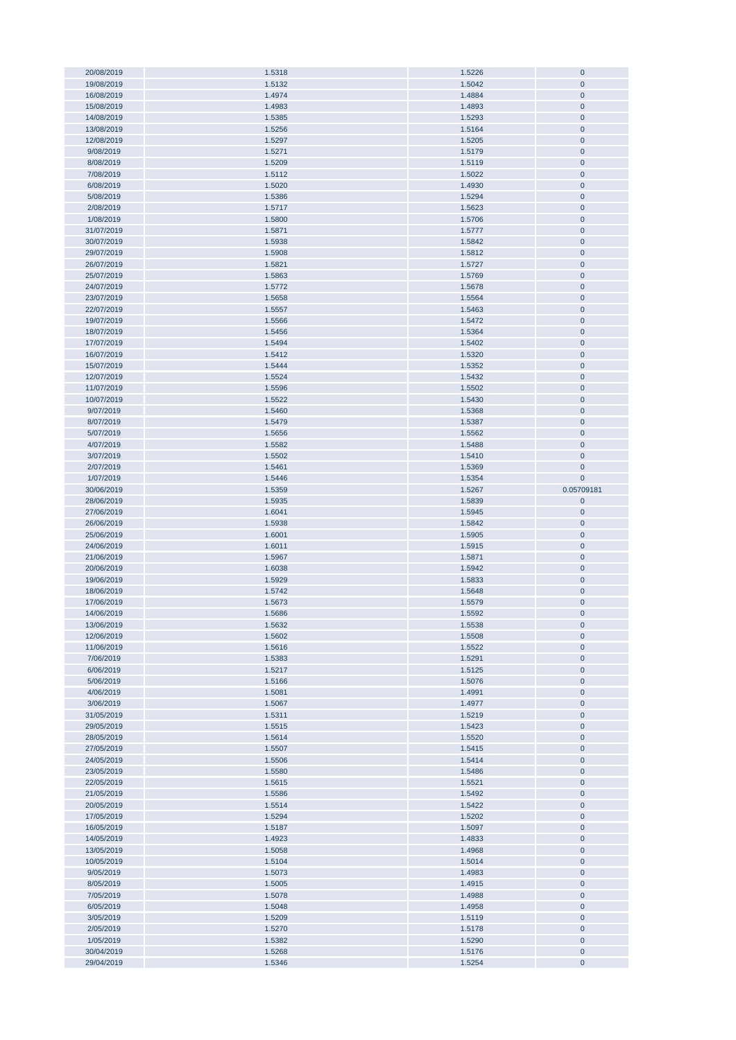| 20/08/2019 | 1.5318 | 1.5226 | $\bf{0}$    |
|------------|--------|--------|-------------|
|            |        |        |             |
| 19/08/2019 | 1.5132 | 1.5042 | $\pmb{0}$   |
| 16/08/2019 | 1.4974 | 1.4884 | $\pmb{0}$   |
| 15/08/2019 | 1.4983 | 1.4893 | $\pmb{0}$   |
|            |        |        |             |
| 14/08/2019 | 1.5385 | 1.5293 | $\pmb{0}$   |
| 13/08/2019 | 1.5256 | 1.5164 | $\mathbf 0$ |
| 12/08/2019 | 1.5297 | 1.5205 | $\bf{0}$    |
|            |        |        |             |
| 9/08/2019  | 1.5271 | 1.5179 | $\mathbf 0$ |
| 8/08/2019  | 1.5209 | 1.5119 | $\pmb{0}$   |
| 7/08/2019  | 1.5112 | 1.5022 | $\bf{0}$    |
|            |        |        |             |
| 6/08/2019  | 1.5020 | 1.4930 | $\bf{0}$    |
| 5/08/2019  | 1.5386 | 1.5294 | $\pmb{0}$   |
|            |        |        |             |
| 2/08/2019  | 1.5717 | 1.5623 | $\pmb{0}$   |
| 1/08/2019  | 1.5800 | 1.5706 | $\pmb{0}$   |
| 31/07/2019 | 1.5871 | 1.5777 | $\pmb{0}$   |
|            |        |        |             |
| 30/07/2019 | 1.5938 | 1.5842 | $\pmb{0}$   |
| 29/07/2019 | 1.5908 | 1.5812 | $\pmb{0}$   |
| 26/07/2019 | 1.5821 | 1.5727 | $\pmb{0}$   |
|            |        |        |             |
| 25/07/2019 | 1.5863 | 1.5769 | $\pmb{0}$   |
| 24/07/2019 | 1.5772 | 1.5678 | $\pmb{0}$   |
| 23/07/2019 | 1.5658 | 1.5564 | $\pmb{0}$   |
|            |        |        |             |
| 22/07/2019 | 1.5557 | 1.5463 | $\pmb{0}$   |
| 19/07/2019 | 1.5566 | 1.5472 | $\pmb{0}$   |
| 18/07/2019 | 1.5456 | 1.5364 | $\pmb{0}$   |
|            |        |        |             |
| 17/07/2019 | 1.5494 | 1.5402 | $\pmb{0}$   |
| 16/07/2019 | 1.5412 | 1.5320 | $\pmb{0}$   |
| 15/07/2019 | 1.5444 | 1.5352 | $\pmb{0}$   |
|            |        |        |             |
| 12/07/2019 | 1.5524 | 1.5432 | $\pmb{0}$   |
| 11/07/2019 | 1.5596 | 1.5502 | $\pmb{0}$   |
| 10/07/2019 | 1.5522 | 1.5430 | $\bf{0}$    |
|            |        |        |             |
| 9/07/2019  | 1.5460 | 1.5368 | $\mathbf 0$ |
| 8/07/2019  | 1.5479 | 1.5387 | $\bf{0}$    |
| 5/07/2019  |        |        | $\pmb{0}$   |
|            | 1.5656 | 1.5562 |             |
| 4/07/2019  | 1.5582 | 1.5488 | $\bf{0}$    |
| 3/07/2019  | 1.5502 | 1.5410 | $\bf{0}$    |
| 2/07/2019  | 1.5461 | 1.5369 | $\mathbf 0$ |
|            |        |        |             |
| 1/07/2019  | 1.5446 | 1.5354 | $\mathbf 0$ |
| 30/06/2019 | 1.5359 | 1.5267 | 0.05709181  |
| 28/06/2019 | 1.5935 | 1.5839 | $\pmb{0}$   |
|            |        |        |             |
|            |        |        |             |
| 27/06/2019 | 1.6041 | 1.5945 | $\pmb{0}$   |
|            |        |        |             |
| 26/06/2019 | 1.5938 | 1.5842 | $\pmb{0}$   |
| 25/06/2019 | 1.6001 | 1.5905 | $\pmb{0}$   |
| 24/06/2019 | 1.6011 | 1.5915 | $\pmb{0}$   |
|            |        |        |             |
| 21/06/2019 | 1.5967 | 1.5871 | $\pmb{0}$   |
| 20/06/2019 | 1.6038 | 1.5942 | $\pmb{0}$   |
| 19/06/2019 | 1.5929 | 1.5833 | $\pmb{0}$   |
|            |        |        |             |
| 18/06/2019 | 1.5742 | 1.5648 | $\pmb{0}$   |
| 17/06/2019 | 1.5673 | 1.5579 | $\pmb{0}$   |
| 14/06/2019 | 1.5686 | 1.5592 | $\mathbf 0$ |
|            |        |        |             |
| 13/06/2019 | 1.5632 | 1.5538 | U           |
| 12/06/2019 | 1.5602 | 1.5508 | $\pmb{0}$   |
| 11/06/2019 | 1.5616 | 1.5522 | $\pmb{0}$   |
| 7/06/2019  |        |        |             |
|            | 1.5383 | 1.5291 | $\pmb{0}$   |
| 6/06/2019  | 1.5217 | 1.5125 | $\pmb{0}$   |
| 5/06/2019  | 1.5166 | 1.5076 | $\pmb{0}$   |
| 4/06/2019  | 1.5081 | 1.4991 | $\pmb{0}$   |
|            |        |        |             |
| 3/06/2019  | 1.5067 | 1.4977 | $\pmb{0}$   |
| 31/05/2019 | 1.5311 | 1.5219 | $\pmb{0}$   |
| 29/05/2019 | 1.5515 | 1.5423 | $\pmb{0}$   |
|            | 1.5614 |        |             |
| 28/05/2019 |        | 1.5520 | $\pmb{0}$   |
| 27/05/2019 | 1.5507 | 1.5415 | $\pmb{0}$   |
| 24/05/2019 | 1.5506 | 1.5414 | $\pmb{0}$   |
| 23/05/2019 | 1.5580 | 1.5486 | $\pmb{0}$   |
|            |        |        |             |
| 22/05/2019 | 1.5615 | 1.5521 | $\pmb{0}$   |
| 21/05/2019 | 1.5586 | 1.5492 | $\pmb{0}$   |
| 20/05/2019 | 1.5514 | 1.5422 | $\pmb{0}$   |
|            |        |        |             |
| 17/05/2019 | 1.5294 | 1.5202 | $\pmb{0}$   |
| 16/05/2019 | 1.5187 | 1.5097 | $\pmb{0}$   |
| 14/05/2019 | 1.4923 | 1.4833 | $\pmb{0}$   |
|            |        |        |             |
| 13/05/2019 | 1.5058 | 1.4968 | $\pmb{0}$   |
| 10/05/2019 | 1.5104 | 1.5014 | $\pmb{0}$   |
| 9/05/2019  | 1.5073 | 1.4983 | $\pmb{0}$   |
|            |        |        |             |
| 8/05/2019  | 1.5005 | 1.4915 | $\pmb{0}$   |
| 7/05/2019  | 1.5078 | 1.4988 | $\pmb{0}$   |
| 6/05/2019  | 1.5048 | 1.4958 | $\pmb{0}$   |
|            |        |        |             |
| 3/05/2019  | 1.5209 | 1.5119 | $\pmb{0}$   |
| 2/05/2019  | 1.5270 | 1.5178 | $\pmb{0}$   |
| 1/05/2019  | 1.5382 | 1.5290 | $\pmb{0}$   |
| 30/04/2019 | 1.5268 | 1.5176 | $\pmb{0}$   |
| 29/04/2019 | 1.5346 | 1.5254 | $\pmb{0}$   |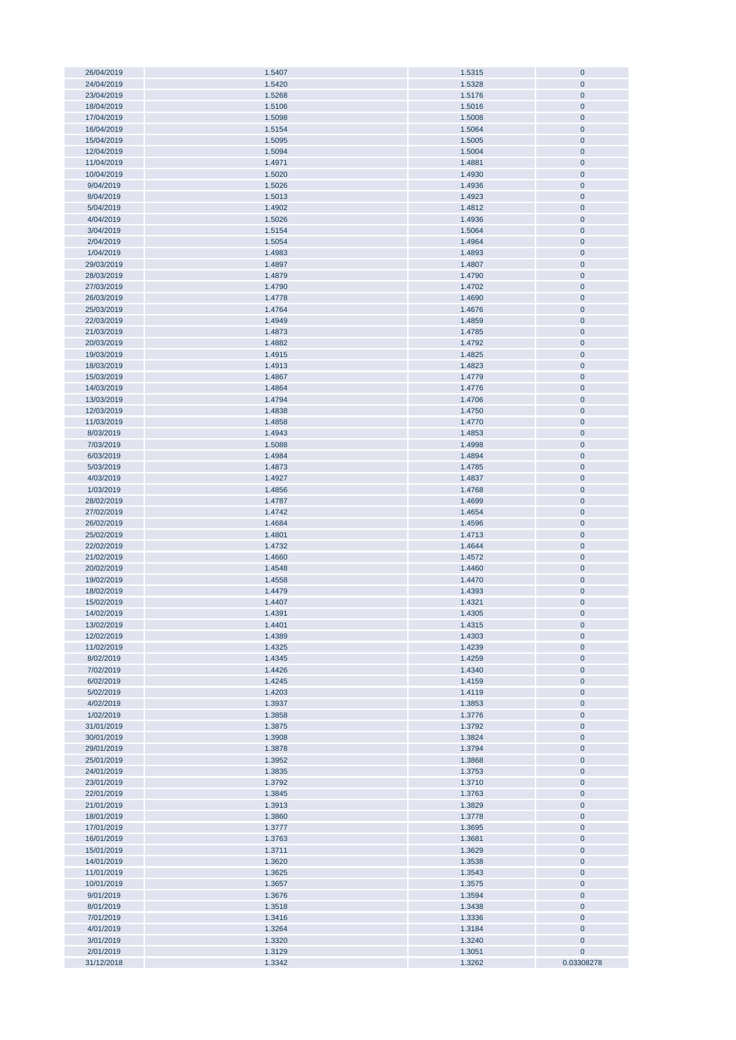| 26/04/2019 | 1.5407 | 1.5315 | $\pmb{0}$    |
|------------|--------|--------|--------------|
| 24/04/2019 | 1.5420 | 1.5328 | $\pmb{0}$    |
| 23/04/2019 | 1.5268 | 1.5176 | $\mathbf{0}$ |
|            |        |        |              |
| 18/04/2019 | 1.5106 | 1.5016 | $\pmb{0}$    |
| 17/04/2019 | 1.5098 | 1.5008 | $\pmb{0}$    |
| 16/04/2019 | 1.5154 | 1.5064 | $\pmb{0}$    |
|            |        |        |              |
| 15/04/2019 | 1.5095 | 1.5005 | $\pmb{0}$    |
| 12/04/2019 | 1.5094 | 1.5004 | $\pmb{0}$    |
| 11/04/2019 | 1.4971 | 1.4881 | $\pmb{0}$    |
|            |        |        |              |
| 10/04/2019 | 1.5020 | 1.4930 | $\pmb{0}$    |
| 9/04/2019  | 1.5026 | 1.4936 | $\pmb{0}$    |
| 8/04/2019  | 1.5013 | 1.4923 | $\pmb{0}$    |
|            |        |        |              |
| 5/04/2019  | 1.4902 | 1.4812 | $\pmb{0}$    |
| 4/04/2019  | 1.5026 | 1.4936 | $\pmb{0}$    |
| 3/04/2019  | 1.5154 | 1.5064 | $\pmb{0}$    |
|            |        |        |              |
| 2/04/2019  | 1.5054 | 1.4964 | $\pmb{0}$    |
| 1/04/2019  | 1.4983 | 1.4893 | $\pmb{0}$    |
| 29/03/2019 | 1.4897 | 1.4807 | $\pmb{0}$    |
|            |        |        |              |
| 28/03/2019 | 1.4879 | 1.4790 | $\pmb{0}$    |
| 27/03/2019 | 1.4790 | 1.4702 | $\pmb{0}$    |
| 26/03/2019 | 1.4778 | 1.4690 | $\pmb{0}$    |
|            |        |        |              |
| 25/03/2019 | 1.4764 | 1.4676 | $\pmb{0}$    |
| 22/03/2019 | 1.4949 | 1.4859 | $\pmb{0}$    |
| 21/03/2019 | 1.4873 | 1.4785 | $\pmb{0}$    |
| 20/03/2019 | 1.4882 |        | $\pmb{0}$    |
|            |        | 1.4792 |              |
| 19/03/2019 | 1.4915 | 1.4825 | $\pmb{0}$    |
| 18/03/2019 | 1.4913 | 1.4823 | $\pmb{0}$    |
| 15/03/2019 | 1.4867 | 1.4779 | $\pmb{0}$    |
|            |        |        |              |
| 14/03/2019 | 1.4864 | 1.4776 | $\pmb{0}$    |
| 13/03/2019 | 1.4794 | 1.4706 | $\pmb{0}$    |
| 12/03/2019 | 1.4838 | 1.4750 | $\pmb{0}$    |
|            |        |        |              |
| 11/03/2019 | 1.4858 | 1.4770 | $\pmb{0}$    |
| 8/03/2019  | 1.4943 | 1.4853 | $\pmb{0}$    |
| 7/03/2019  | 1.5088 |        | $\pmb{0}$    |
|            |        | 1.4998 |              |
| 6/03/2019  | 1.4984 | 1.4894 | $\pmb{0}$    |
| 5/03/2019  | 1.4873 | 1.4785 | $\pmb{0}$    |
| 4/03/2019  | 1.4927 | 1.4837 | $\pmb{0}$    |
|            |        |        |              |
| 1/03/2019  | 1.4856 | 1.4768 | $\pmb{0}$    |
| 28/02/2019 | 1.4787 | 1.4699 | $\pmb{0}$    |
| 27/02/2019 | 1.4742 | 1.4654 | $\pmb{0}$    |
|            |        |        |              |
| 26/02/2019 | 1.4684 | 1.4596 | $\pmb{0}$    |
| 25/02/2019 | 1.4801 | 1.4713 | $\bf{0}$     |
| 22/02/2019 | 1.4732 | 1.4644 | $\pmb{0}$    |
|            |        |        |              |
| 21/02/2019 | 1.4660 | 1.4572 | $\pmb{0}$    |
| 20/02/2019 | 1.4548 | 1.4460 | $\pmb{0}$    |
| 19/02/2019 | 1.4558 | 1.4470 | $\pmb{0}$    |
|            |        |        |              |
| 18/02/2019 | 1.4479 | 1.4393 | $\pmb{0}$    |
| 15/02/2019 | 1.4407 | 1.4321 | $\pmb{0}$    |
| 14/02/2019 | 1.4391 | 1.4305 | $\mathbf{0}$ |
|            |        |        |              |
| 13/02/2019 | 1.4401 | 1.4315 | $\bf{0}$     |
| 12/02/2019 | 1.4389 | 1.4303 | $\bf 0$      |
| 11/02/2019 | 1.4325 | 1.4239 | $\pmb{0}$    |
|            |        |        |              |
| 8/02/2019  | 1.4345 | 1.4259 | $\pmb{0}$    |
| 7/02/2019  | 1.4426 | 1.4340 | $\pmb{0}$    |
| 6/02/2019  | 1.4245 | 1.4159 | $\pmb{0}$    |
|            |        |        |              |
| 5/02/2019  | 1.4203 | 1.4119 | $\pmb{0}$    |
| 4/02/2019  | 1.3937 | 1.3853 | $\pmb{0}$    |
| 1/02/2019  | 1.3858 | 1.3776 | $\pmb{0}$    |
| 31/01/2019 | 1.3875 | 1.3792 | $\pmb{0}$    |
|            |        |        |              |
| 30/01/2019 | 1.3908 | 1.3824 | $\pmb{0}$    |
| 29/01/2019 | 1.3878 | 1.3794 | $\pmb{0}$    |
| 25/01/2019 | 1.3952 | 1.3868 | $\pmb{0}$    |
| 24/01/2019 |        | 1.3753 |              |
|            | 1.3835 |        | $\pmb{0}$    |
| 23/01/2019 | 1.3792 | 1.3710 | $\pmb{0}$    |
| 22/01/2019 | 1.3845 | 1.3763 | $\pmb{0}$    |
| 21/01/2019 | 1.3913 | 1.3829 | $\bf{0}$     |
|            |        |        |              |
| 18/01/2019 | 1.3860 | 1.3778 | $\bf{0}$     |
| 17/01/2019 | 1.3777 | 1.3695 | $\pmb{0}$    |
| 16/01/2019 | 1.3763 | 1.3681 | $\pmb{0}$    |
|            |        |        |              |
| 15/01/2019 | 1.3711 | 1.3629 | $\pmb{0}$    |
| 14/01/2019 | 1.3620 | 1.3538 | $\bf{0}$     |
| 11/01/2019 | 1.3625 | 1.3543 | $\pmb{0}$    |
|            |        |        |              |
| 10/01/2019 | 1.3657 | 1.3575 | $\pmb{0}$    |
| 9/01/2019  | 1.3676 | 1.3594 | $\pmb{0}$    |
| 8/01/2019  | 1.3518 | 1.3438 | $\pmb{0}$    |
| 7/01/2019  | 1.3416 | 1.3336 | $\pmb{0}$    |
|            |        |        |              |
| 4/01/2019  | 1.3264 | 1.3184 | $\pmb{0}$    |
| 3/01/2019  | 1.3320 | 1.3240 | $\pmb{0}$    |
| 2/01/2019  | 1.3129 | 1.3051 | $\pmb{0}$    |
|            |        |        |              |
| 31/12/2018 | 1.3342 | 1.3262 | 0.03308278   |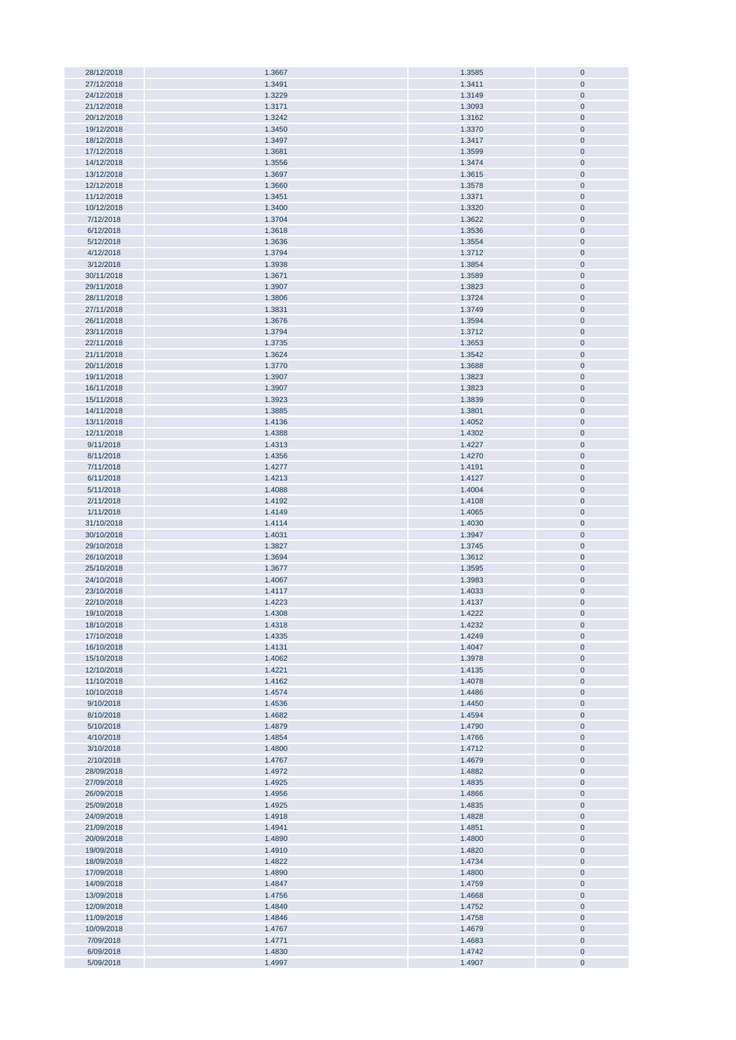| 28/12/2018 | 1.3667 | 1.3585 | $\pmb{0}$ |
|------------|--------|--------|-----------|
| 27/12/2018 | 1.3491 | 1.3411 | $\pmb{0}$ |
| 24/12/2018 | 1.3229 | 1.3149 | $\pmb{0}$ |
|            |        |        |           |
| 21/12/2018 | 1.3171 | 1.3093 | $\pmb{0}$ |
| 20/12/2018 | 1.3242 | 1.3162 | $\pmb{0}$ |
| 19/12/2018 | 1.3450 | 1.3370 | $\pmb{0}$ |
| 18/12/2018 | 1.3497 | 1.3417 | $\pmb{0}$ |
|            |        |        |           |
| 17/12/2018 | 1.3681 | 1.3599 | $\pmb{0}$ |
| 14/12/2018 | 1.3556 | 1.3474 | $\pmb{0}$ |
| 13/12/2018 | 1.3697 | 1.3615 | $\pmb{0}$ |
| 12/12/2018 | 1.3660 |        | $\pmb{0}$ |
|            |        | 1.3578 |           |
| 11/12/2018 | 1.3451 | 1.3371 | $\pmb{0}$ |
| 10/12/2018 | 1.3400 | 1.3320 | $\pmb{0}$ |
| 7/12/2018  | 1.3704 | 1.3622 | $\pmb{0}$ |
|            |        |        |           |
| 6/12/2018  | 1.3618 | 1.3536 | $\pmb{0}$ |
| 5/12/2018  | 1.3636 | 1.3554 | $\pmb{0}$ |
| 4/12/2018  | 1.3794 | 1.3712 | $\pmb{0}$ |
|            |        |        |           |
| 3/12/2018  | 1.3938 | 1.3854 | $\pmb{0}$ |
| 30/11/2018 | 1.3671 | 1.3589 | $\pmb{0}$ |
| 29/11/2018 | 1.3907 | 1.3823 | $\pmb{0}$ |
| 28/11/2018 | 1.3806 | 1.3724 | $\pmb{0}$ |
|            |        |        |           |
| 27/11/2018 | 1.3831 | 1.3749 | $\pmb{0}$ |
| 26/11/2018 | 1.3676 | 1.3594 | $\pmb{0}$ |
| 23/11/2018 | 1.3794 | 1.3712 | $\pmb{0}$ |
| 22/11/2018 | 1.3735 | 1.3653 | $\pmb{0}$ |
| 21/11/2018 |        | 1.3542 |           |
|            | 1.3624 |        | $\pmb{0}$ |
| 20/11/2018 | 1.3770 | 1.3688 | $\pmb{0}$ |
| 19/11/2018 | 1.3907 | 1.3823 | $\pmb{0}$ |
| 16/11/2018 | 1.3907 | 1.3823 | $\pmb{0}$ |
|            |        |        |           |
| 15/11/2018 | 1.3923 | 1.3839 | $\pmb{0}$ |
| 14/11/2018 | 1.3885 | 1.3801 | $\pmb{0}$ |
| 13/11/2018 | 1.4136 | 1.4052 | $\pmb{0}$ |
| 12/11/2018 | 1.4388 | 1.4302 | $\pmb{0}$ |
|            |        |        |           |
| 9/11/2018  | 1.4313 | 1.4227 | $\pmb{0}$ |
| 8/11/2018  | 1.4356 | 1.4270 | $\pmb{0}$ |
| 7/11/2018  | 1.4277 | 1.4191 | $\pmb{0}$ |
| 6/11/2018  | 1.4213 | 1.4127 | $\pmb{0}$ |
|            |        |        |           |
| 5/11/2018  | 1.4088 | 1.4004 | $\pmb{0}$ |
| 2/11/2018  | 1.4192 | 1.4108 | $\pmb{0}$ |
| 1/11/2018  | 1.4149 | 1.4065 | $\pmb{0}$ |
| 31/10/2018 | 1.4114 | 1.4030 | $\pmb{0}$ |
|            |        |        |           |
| 30/10/2018 | 1.4031 | 1.3947 | $\pmb{0}$ |
| 29/10/2018 | 1.3827 | 1.3745 | $\pmb{0}$ |
| 26/10/2018 | 1.3694 | 1.3612 | $\pmb{0}$ |
| 25/10/2018 | 1.3677 | 1.3595 | $\pmb{0}$ |
|            |        |        |           |
| 24/10/2018 | 1.4067 | 1.3983 | $\pmb{0}$ |
| 23/10/2018 | 1.4117 | 1.4033 | $\pmb{0}$ |
| 22/10/2018 | 1.4223 | 1.4137 | $\pmb{0}$ |
| 19/10/2018 | 1.4308 | 1.4222 | $\pmb{0}$ |
|            |        |        |           |
| 18/10/2018 | 1.4318 | 1.4232 | $\pmb{0}$ |
| 17/10/2018 | 1.4335 | 1.4249 | $\pmb{0}$ |
| 16/10/2018 | 1.4131 | 1.4047 | $\pmb{0}$ |
| 15/10/2018 | 1.4062 | 1.3978 | $\pmb{0}$ |
|            |        |        |           |
| 12/10/2018 | 1.4221 | 1.4135 | $\pmb{0}$ |
| 11/10/2018 | 1.4162 | 1.4078 | $\pmb{0}$ |
| 10/10/2018 | 1.4574 | 1.4486 | $\pmb{0}$ |
| 9/10/2018  | 1.4536 | 1.4450 | $\pmb{0}$ |
|            |        |        |           |
| 8/10/2018  | 1.4682 | 1.4594 | $\pmb{0}$ |
| 5/10/2018  | 1.4879 | 1.4790 | $\pmb{0}$ |
| 4/10/2018  | 1.4854 | 1.4766 | $\pmb{0}$ |
| 3/10/2018  | 1.4800 | 1.4712 | $\pmb{0}$ |
|            |        |        |           |
| 2/10/2018  | 1.4767 | 1.4679 | $\pmb{0}$ |
| 28/09/2018 | 1.4972 | 1.4882 | $\bf{0}$  |
| 27/09/2018 | 1.4925 | 1.4835 | $\pmb{0}$ |
| 26/09/2018 | 1.4956 | 1.4866 | $\pmb{0}$ |
|            |        |        |           |
| 25/09/2018 | 1.4925 | 1.4835 | $\pmb{0}$ |
| 24/09/2018 | 1.4918 | 1.4828 | $\pmb{0}$ |
| 21/09/2018 | 1.4941 | 1.4851 | $\pmb{0}$ |
| 20/09/2018 | 1.4890 | 1.4800 | $\pmb{0}$ |
|            |        |        |           |
| 19/09/2018 | 1.4910 | 1.4820 | $\pmb{0}$ |
| 18/09/2018 | 1.4822 | 1.4734 | $\pmb{0}$ |
| 17/09/2018 | 1.4890 | 1.4800 | $\pmb{0}$ |
| 14/09/2018 | 1.4847 | 1.4759 | $\pmb{0}$ |
|            |        |        |           |
| 13/09/2018 | 1.4756 | 1.4668 | $\pmb{0}$ |
| 12/09/2018 | 1.4840 | 1.4752 | $\pmb{0}$ |
| 11/09/2018 | 1.4846 | 1.4758 | $\pmb{0}$ |
| 10/09/2018 | 1.4767 | 1.4679 | $\pmb{0}$ |
|            |        |        |           |
| 7/09/2018  | 1.4771 | 1.4683 | $\pmb{0}$ |
| 6/09/2018  | 1.4830 | 1.4742 | $\pmb{0}$ |
| 5/09/2018  | 1.4997 | 1.4907 | $\pmb{0}$ |
|            |        |        |           |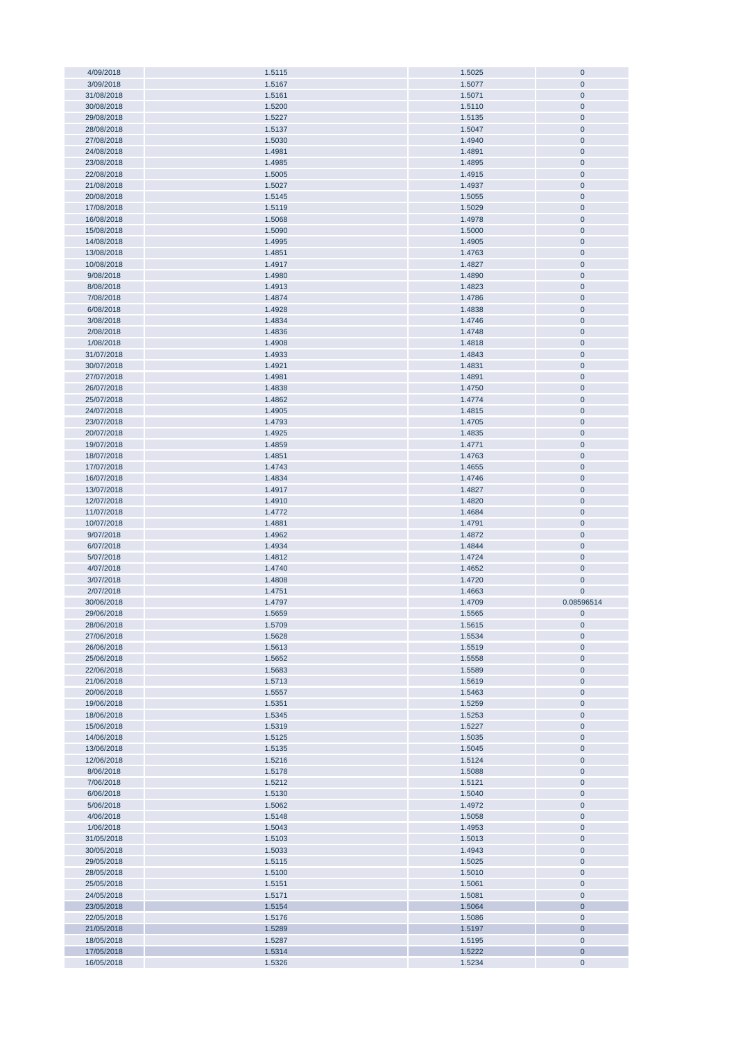| 4/09/2018<br>3/09/2018   |                  |                  |                       |
|--------------------------|------------------|------------------|-----------------------|
|                          | 1.5115           | 1.5025           | $\pmb{0}$             |
|                          | 1.5167           | 1.5077           | $\overline{0}$        |
| 31/08/2018               | 1.5161           | 1.5071           | $\mathbf{0}$          |
| 30/08/2018               | 1.5200           | 1.5110           | $\pmb{0}$             |
|                          |                  |                  |                       |
| 29/08/2018               | 1.5227           | 1.5135           | $\pmb{0}$             |
| 28/08/2018               | 1.5137           | 1.5047           | $\pmb{0}$             |
| 27/08/2018               | 1.5030           | 1.4940           | $\pmb{0}$             |
| 24/08/2018               | 1.4981           | 1.4891           | $\pmb{0}$             |
|                          |                  |                  |                       |
| 23/08/2018               | 1.4985           | 1.4895           | $\pmb{0}$             |
| 22/08/2018               | 1.5005           | 1.4915           | $\pmb{0}$             |
| 21/08/2018               | 1.5027           | 1.4937           | $\pmb{0}$             |
|                          |                  |                  |                       |
| 20/08/2018               | 1.5145           | 1.5055           | $\pmb{0}$             |
| 17/08/2018               | 1.5119           | 1.5029           | $\pmb{0}$             |
| 16/08/2018               | 1.5068           | 1.4978           | $\pmb{0}$             |
| 15/08/2018               | 1.5090           | 1.5000           | $\overline{0}$        |
|                          |                  |                  |                       |
| 14/08/2018               | 1.4995           | 1.4905           | $\pmb{0}$             |
| 13/08/2018               | 1.4851           | 1.4763           | $\pmb{0}$             |
| 10/08/2018               | 1.4917           | 1.4827           | $\mathbf 0$           |
| 9/08/2018                | 1.4980           | 1.4890           | $\overline{0}$        |
|                          |                  |                  |                       |
| 8/08/2018                | 1.4913           | 1.4823           | $\overline{0}$        |
| 7/08/2018                | 1.4874           | 1.4786           | $\pmb{0}$             |
| 6/08/2018                | 1.4928           | 1.4838           | $\pmb{0}$             |
|                          |                  |                  |                       |
| 3/08/2018                | 1.4834           | 1.4746           | $\mathbf 0$           |
| 2/08/2018                | 1.4836           | 1.4748           | $\pmb{0}$             |
| 1/08/2018                | 1.4908           | 1.4818           | $\pmb{0}$             |
| 31/07/2018               | 1.4933           | 1.4843           | $\pmb{0}$             |
|                          |                  |                  |                       |
| 30/07/2018               | 1.4921           | 1.4831           | $\pmb{0}$             |
| 27/07/2018               | 1.4981           | 1.4891           | $\overline{0}$        |
| 26/07/2018               | 1.4838           | 1.4750           | $\pmb{0}$             |
| 25/07/2018               | 1.4862           | 1.4774           | $\pmb{0}$             |
|                          |                  |                  |                       |
| 24/07/2018               | 1.4905           | 1.4815           | $\pmb{0}$             |
| 23/07/2018               | 1.4793           | 1.4705           | $\pmb{0}$             |
| 20/07/2018               | 1.4925           | 1.4835           | $\pmb{0}$             |
|                          |                  |                  |                       |
| 19/07/2018               | 1.4859           | 1.4771           | $\pmb{0}$             |
| 18/07/2018               | 1.4851           | 1.4763           | $\pmb{0}$             |
| 17/07/2018               | 1.4743           | 1.4655           | $\pmb{0}$             |
| 16/07/2018               | 1.4834           | 1.4746           | $\pmb{0}$             |
|                          |                  |                  |                       |
| 13/07/2018               | 1.4917           | 1.4827           | $\pmb{0}$             |
| 12/07/2018               | 1.4910           | 1.4820           | $\pmb{0}$             |
|                          |                  |                  |                       |
|                          |                  |                  | $\overline{0}$        |
| 11/07/2018               | 1.4772           | 1.4684           |                       |
| 10/07/2018               | 1.4881           | 1.4791           | $\mathbf 0$           |
| 9/07/2018                | 1.4962           | 1.4872           | $\mathbf 0$           |
| 6/07/2018                | 1.4934           | 1.4844           | $\mathbf 0$           |
|                          |                  |                  |                       |
| 5/07/2018                | 1.4812           | 1.4724           | $\mathbf 0$           |
| 4/07/2018                | 1.4740           | 1.4652           | $\overline{0}$        |
| 3/07/2018                | 1.4808           | 1.4720           | $\overline{0}$        |
| 2/07/2018                | 1.4751           | 1.4663           | $\pmb{0}$             |
|                          |                  |                  |                       |
| 30/06/2018               | 1.4797           | 1.4709           | 0.08596514            |
| 29/06/2018               | 1.5659           | 1.5565           | $\pmb{0}$             |
| 28/06/2018               | 1.5709           | 1.5615           | $\bf{0}$              |
| 27/06/2018               | 1.5628           |                  | $\bf 0$               |
|                          |                  | 1.5534           |                       |
| 26/06/2018               | 1.5613           | 1.5519           | $\pmb{0}$             |
| 25/06/2018               | 1.5652           | 1.5558           | $\pmb{0}$             |
| 22/06/2018               | 1.5683           | 1.5589           | $\pmb{0}$             |
| 21/06/2018               | 1.5713           | 1.5619           | $\pmb{0}$             |
|                          |                  |                  |                       |
| 20/06/2018               | 1.5557           | 1.5463           | $\pmb{0}$             |
| 19/06/2018               | 1.5351           | 1.5259           | $\pmb{0}$             |
| 18/06/2018               | 1.5345           | 1.5253           | $\pmb{0}$             |
| 15/06/2018               | 1.5319           | 1.5227           | $\pmb{0}$             |
|                          |                  |                  |                       |
| 14/06/2018               | 1.5125           | 1.5035           | $\pmb{0}$             |
| 13/06/2018               | 1.5135           | 1.5045           | $\pmb{0}$             |
| 12/06/2018               | 1.5216           | 1.5124           | $\pmb{0}$             |
| 8/06/2018                | 1.5178           | 1.5088           | $\pmb{0}$             |
|                          |                  |                  |                       |
| 7/06/2018                | 1.5212           | 1.5121           | $\pmb{0}$             |
| 6/06/2018                | 1.5130           | 1.5040           | $\pmb{0}$             |
| 5/06/2018                | 1.5062           | 1.4972           | $\bf{0}$              |
| 4/06/2018                | 1.5148           | 1.5058           | $\bf{0}$              |
|                          |                  |                  |                       |
| 1/06/2018                | 1.5043           | 1.4953           | $\pmb{0}$             |
| 31/05/2018               | 1.5103           | 1.5013           | $\pmb{0}$             |
| 30/05/2018               | 1.5033           | 1.4943           | $\pmb{0}$             |
|                          |                  |                  |                       |
| 29/05/2018               | 1.5115           | 1.5025           | $\overline{0}$        |
| 28/05/2018               | 1.5100           | 1.5010           | $\pmb{0}$             |
| 25/05/2018               | 1.5151           | 1.5061           | $\pmb{0}$             |
| 24/05/2018               | 1.5171           | 1.5081           | $\pmb{0}$             |
|                          |                  |                  |                       |
| 23/05/2018               | 1.5154           | 1.5064           | $\mathbf 0$           |
| 22/05/2018               | 1.5176           | 1.5086           | $\pmb{0}$             |
| 21/05/2018               | 1.5289           | 1.5197           | $\bf{0}$              |
|                          |                  |                  |                       |
| 18/05/2018               | 1.5287           | 1.5195           | $\pmb{0}$             |
| 17/05/2018<br>16/05/2018 | 1.5314<br>1.5326 | 1.5222<br>1.5234 | $\bf{0}$<br>$\pmb{0}$ |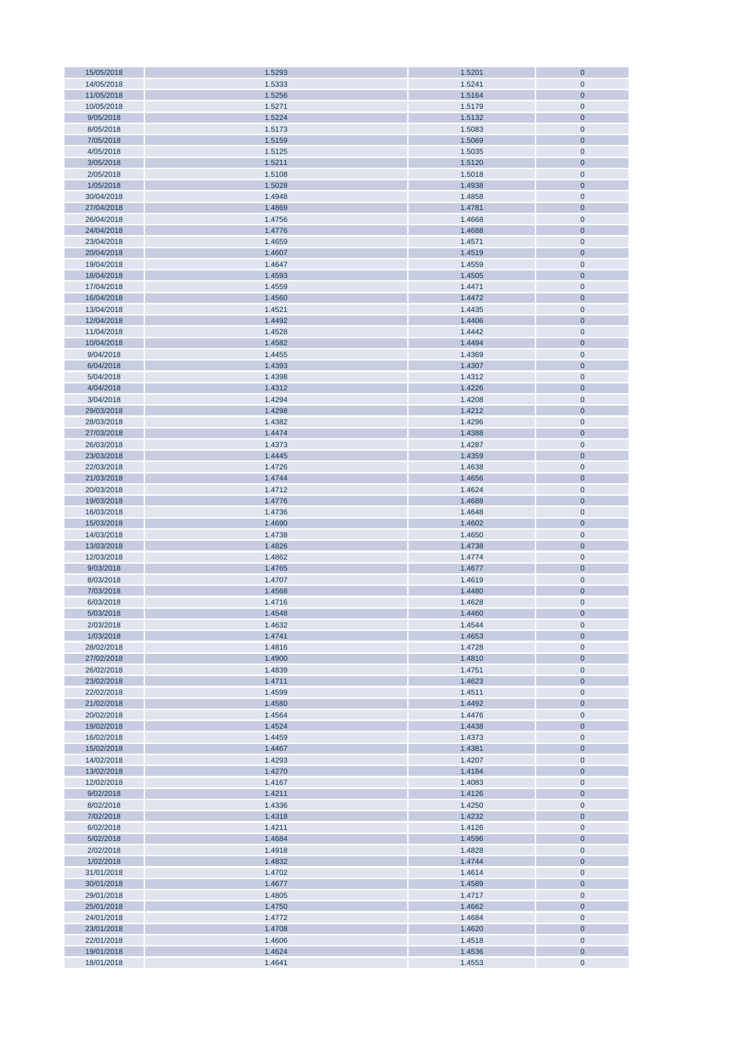| 15/05/2018 | 1.5293 | 1.5201 | $\bf 0$      |
|------------|--------|--------|--------------|
| 14/05/2018 | 1.5333 | 1.5241 | $\mathbf 0$  |
| 11/05/2018 | 1.5256 | 1.5164 | $\bf 0$      |
|            |        |        |              |
| 10/05/2018 | 1.5271 | 1.5179 | $\pmb{0}$    |
| 9/05/2018  | 1.5224 | 1.5132 | $\pmb{0}$    |
| 8/05/2018  | 1.5173 | 1.5083 | $\pmb{0}$    |
| 7/05/2018  | 1.5159 | 1.5069 | $\pmb{0}$    |
|            |        |        |              |
| 4/05/2018  | 1.5125 | 1.5035 | $\pmb{0}$    |
| 3/05/2018  | 1.5211 | 1.5120 | $\pmb{0}$    |
| 2/05/2018  | 1.5108 | 1.5018 | $\pmb{0}$    |
| 1/05/2018  | 1.5028 | 1.4938 | $\pmb{0}$    |
|            |        |        |              |
| 30/04/2018 | 1.4948 | 1.4858 | $\pmb{0}$    |
| 27/04/2018 | 1.4869 | 1.4781 | $\pmb{0}$    |
| 26/04/2018 | 1.4756 | 1.4668 | $\pmb{0}$    |
|            |        |        |              |
| 24/04/2018 | 1.4776 | 1.4688 | $\pmb{0}$    |
| 23/04/2018 | 1.4659 | 1.4571 | $\pmb{0}$    |
| 20/04/2018 | 1.4607 | 1.4519 | $\pmb{0}$    |
| 19/04/2018 | 1.4647 | 1.4559 | $\pmb{0}$    |
|            |        |        |              |
| 18/04/2018 | 1.4593 | 1.4505 | $\bf 0$      |
| 17/04/2018 | 1.4559 | 1.4471 | $\pmb{0}$    |
| 16/04/2018 | 1.4560 | 1.4472 | $\mathbf{0}$ |
|            |        | 1.4435 |              |
| 13/04/2018 | 1.4521 |        | $\pmb{0}$    |
| 12/04/2018 | 1.4492 | 1.4406 | $\mathbf{0}$ |
| 11/04/2018 | 1.4528 | 1.4442 | $\pmb{0}$    |
| 10/04/2018 | 1.4582 | 1.4494 | $\bf 0$      |
|            |        |        |              |
| 9/04/2018  | 1.4455 | 1.4369 | $\pmb{0}$    |
| 6/04/2018  | 1.4393 | 1.4307 | $\bf 0$      |
| 5/04/2018  | 1.4398 | 1.4312 | $\pmb{0}$    |
| 4/04/2018  | 1.4312 | 1.4226 | $\pmb{0}$    |
|            |        |        |              |
| 3/04/2018  | 1.4294 | 1.4208 | $\pmb{0}$    |
| 29/03/2018 | 1.4298 | 1.4212 | $\pmb{0}$    |
| 28/03/2018 | 1.4382 | 1.4296 | $\pmb{0}$    |
|            |        |        |              |
| 27/03/2018 | 1.4474 | 1.4388 | $\pmb{0}$    |
| 26/03/2018 | 1.4373 | 1.4287 | $\pmb{0}$    |
| 23/03/2018 | 1.4445 | 1.4359 | $\pmb{0}$    |
| 22/03/2018 | 1.4726 | 1.4638 | $\pmb{0}$    |
|            |        |        |              |
| 21/03/2018 | 1.4744 | 1.4656 | $\pmb{0}$    |
| 20/03/2018 | 1.4712 | 1.4624 | $\pmb{0}$    |
| 19/03/2018 | 1.4776 | 1.4688 | $\pmb{0}$    |
| 16/03/2018 |        | 1.4648 | $\pmb{0}$    |
|            | 1.4736 |        |              |
| 15/03/2018 | 1.4690 | 1.4602 | $\pmb{0}$    |
| 14/03/2018 | 1.4738 | 1.4650 | $\pmb{0}$    |
| 13/03/2018 | 1.4826 | 1.4738 | $\bf{0}$     |
|            |        |        |              |
| 12/03/2018 | 1.4862 | 1.4774 | $\pmb{0}$    |
| 9/03/2018  | 1.4765 | 1.4677 | $\mathbf 0$  |
| 8/03/2018  | 1.4707 | 1.4619 | $\pmb{0}$    |
| 7/03/2018  | 1.4568 | 1.4480 | $\mathbf{0}$ |
|            |        |        |              |
| 6/03/2018  | 1.4716 | 1.4628 | $\mathbf 0$  |
| 5/03/2018  | 1.4548 | 1.4460 | $\bf{0}$     |
| 2/03/2018  | 1.4632 | 1.4544 | $\pmb{0}$    |
|            |        |        |              |
| 1/03/2018  | 1.4741 | 1.4653 | $\pmb{0}$    |
| 28/02/2018 | 1.4816 | 1.4728 | $\pmb{0}$    |
| 27/02/2018 | 1.4900 | 1.4810 | $\pmb{0}$    |
| 26/02/2018 | 1.4839 | 1.4751 | $\pmb{0}$    |
|            |        |        |              |
| 23/02/2018 | 1.4711 | 1.4623 | $\pmb{0}$    |
| 22/02/2018 | 1.4599 | 1.4511 | $\pmb{0}$    |
| 21/02/2018 | 1.4580 | 1.4492 | $\pmb{0}$    |
| 20/02/2018 | 1.4564 | 1.4476 | $\pmb{0}$    |
|            |        |        |              |
| 19/02/2018 | 1.4524 | 1.4438 | $\bf{0}$     |
| 16/02/2018 | 1.4459 | 1.4373 | $\pmb{0}$    |
| 15/02/2018 | 1.4467 | 1.4381 | $\bf{0}$     |
| 14/02/2018 | 1.4293 | 1.4207 | $\pmb{0}$    |
|            |        |        |              |
| 13/02/2018 | 1.4270 | 1.4184 | $\pmb{0}$    |
| 12/02/2018 | 1.4167 | 1.4083 | $\pmb{0}$    |
| 9/02/2018  | 1.4211 | 1.4126 | $\pmb{0}$    |
| 8/02/2018  | 1.4336 | 1.4250 | $\pmb{0}$    |
|            |        |        |              |
| 7/02/2018  | 1.4318 | 1.4232 | $\bf 0$      |
| 6/02/2018  | 1.4211 | 1.4126 | $\pmb{0}$    |
| 5/02/2018  | 1.4684 | 1.4596 | $\mathbf{0}$ |
|            |        |        |              |
| 2/02/2018  | 1.4918 | 1.4828 | $\pmb{0}$    |
| 1/02/2018  | 1.4832 | 1.4744 | $\bf 0$      |
| 31/01/2018 | 1.4702 | 1.4614 | $\pmb{0}$    |
| 30/01/2018 | 1.4677 | 1.4589 | $\pmb{0}$    |
|            |        |        |              |
| 29/01/2018 | 1.4805 | 1.4717 | $\pmb{0}$    |
| 25/01/2018 | 1.4750 | 1.4662 | $\pmb{0}$    |
| 24/01/2018 | 1.4772 | 1.4684 | $\pmb{0}$    |
| 23/01/2018 | 1.4708 | 1.4620 | $\pmb{0}$    |
|            |        |        |              |
| 22/01/2018 | 1.4606 | 1.4518 | $\pmb{0}$    |
| 19/01/2018 | 1.4624 | 1.4536 | $\pmb{0}$    |
| 18/01/2018 | 1.4641 | 1.4553 | $\pmb{0}$    |
|            |        |        |              |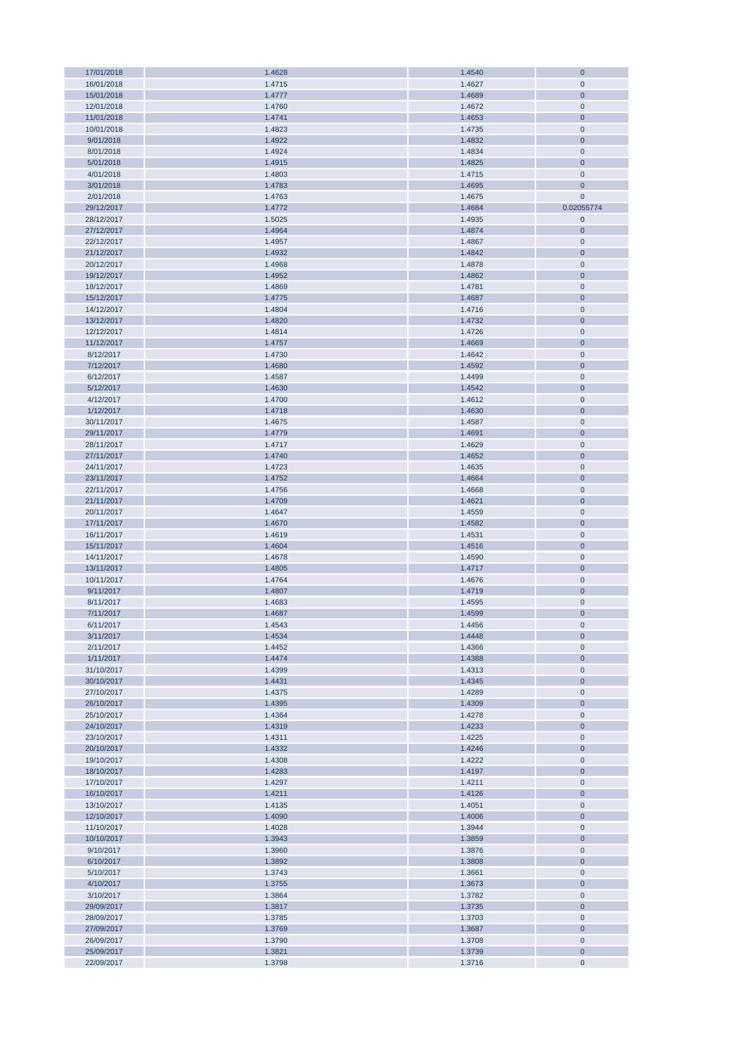| 17/01/2018 | 1.4628 | 1.4540 | $\bf 0$        |
|------------|--------|--------|----------------|
| 16/01/2018 | 1.4715 | 1.4627 | $\mathbf 0$    |
| 15/01/2018 | 1.4777 | 1.4689 | $\mathbf 0$    |
|            |        |        |                |
| 12/01/2018 | 1.4760 | 1.4672 | $\mathbf 0$    |
| 11/01/2018 | 1.4741 | 1.4653 | $\bf 0$        |
| 10/01/2018 | 1.4823 | 1.4735 | $\pmb{0}$      |
| 9/01/2018  | 1.4922 | 1.4832 | $\mathbf 0$    |
|            |        |        |                |
| 8/01/2018  | 1.4924 | 1.4834 | $\mathbf 0$    |
| 5/01/2018  | 1.4915 | 1.4825 | $\mathbf 0$    |
| 4/01/2018  | 1.4803 | 1.4715 | $\mathbf 0$    |
| 3/01/2018  | 1.4783 | 1.4695 | $\mathbf 0$    |
|            |        |        |                |
| 2/01/2018  | 1.4763 | 1.4675 | $\mathbf{0}$   |
| 29/12/2017 | 1.4772 | 1.4684 | 0.02055774     |
| 28/12/2017 | 1.5025 | 1.4935 | $\mathbf 0$    |
| 27/12/2017 | 1.4964 | 1.4874 | $\mathbf 0$    |
|            |        |        |                |
| 22/12/2017 | 1.4957 | 1.4867 | $\mathbf 0$    |
| 21/12/2017 | 1.4932 | 1.4842 | $\mathbf 0$    |
| 20/12/2017 | 1.4968 | 1.4878 | $\pmb{0}$      |
| 19/12/2017 | 1.4952 | 1.4862 | $\mathbf 0$    |
|            |        |        |                |
| 18/12/2017 | 1.4869 | 1.4781 | $\mathbf 0$    |
| 15/12/2017 | 1.4775 | 1.4687 | $\overline{0}$ |
| 14/12/2017 | 1.4804 | 1.4716 | $\pmb{0}$      |
| 13/12/2017 | 1.4820 | 1.4732 | $\mathbf 0$    |
|            |        |        |                |
| 12/12/2017 | 1.4814 | 1.4726 | $\pmb{0}$      |
| 11/12/2017 | 1.4757 | 1.4669 | $\mathbf 0$    |
| 8/12/2017  | 1.4730 | 1.4642 | $\pmb{0}$      |
| 7/12/2017  | 1.4680 | 1.4592 | $\bf 0$        |
|            |        |        |                |
| 6/12/2017  | 1.4587 | 1.4499 | $\pmb{0}$      |
| 5/12/2017  | 1.4630 | 1.4542 | $\bf 0$        |
| 4/12/2017  | 1.4700 | 1.4612 | $\pmb{0}$      |
| 1/12/2017  | 1.4718 | 1.4630 | $\mathbf 0$    |
| 30/11/2017 | 1.4675 |        | $\mathbf 0$    |
|            |        | 1.4587 |                |
| 29/11/2017 | 1.4779 | 1.4691 | $\mathbf 0$    |
| 28/11/2017 | 1.4717 | 1.4629 | $\mathbf 0$    |
| 27/11/2017 | 1.4740 | 1.4652 | $\mathbf 0$    |
|            |        |        | $\mathbf 0$    |
| 24/11/2017 | 1.4723 | 1.4635 |                |
| 23/11/2017 | 1.4752 | 1.4664 | $\mathbf 0$    |
| 22/11/2017 | 1.4756 | 1.4668 | $\pmb{0}$      |
| 21/11/2017 | 1.4709 | 1.4621 | $\mathbf 0$    |
| 20/11/2017 | 1.4647 | 1.4559 | $\pmb{0}$      |
|            |        |        |                |
| 17/11/2017 | 1.4670 | 1.4582 | $\mathbf 0$    |
| 16/11/2017 | 1.4619 | 1.4531 | $\mathbf 0$    |
| 15/11/2017 | 1.4604 | 1.4516 | $\mathbf 0$    |
| 14/11/2017 | 1.4678 | 1.4590 | $\mathbf 0$    |
|            |        |        |                |
| 13/11/2017 | 1.4805 | 1.4717 | $\overline{0}$ |
| 10/11/2017 | 1.4764 | 1.4676 | $\mathbf 0$    |
| 9/11/2017  | 1.4807 | 1.4719 | $\mathbf 0$    |
| 8/11/2017  | 1.4683 | 1.4595 | $\pmb{0}$      |
|            |        |        |                |
| 7/11/2017  | 1.4687 | 1.4599 | $\bf{0}$       |
| 6/11/2017  | 1.4543 | 1.4456 | $\mathbf 0$    |
| 3/11/2017  | 1.4534 | 1.4448 | $\bf 0$        |
| 2/11/2017  | 1.4452 | 1.4366 | $\mathbf 0$    |
|            |        |        |                |
| 1/11/2017  | 1.4474 | 1.4388 | $\mathbf 0$    |
| 31/10/2017 | 1.4399 | 1.4313 | $\pmb{0}$      |
| 30/10/2017 | 1.4431 | 1.4345 | $\mathbf 0$    |
| 27/10/2017 | 1.4375 | 1.4289 | $\mathbf 0$    |
| 26/10/2017 | 1.4395 | 1.4309 | $\mathbf 0$    |
|            |        |        |                |
| 25/10/2017 | 1.4364 | 1.4278 | $\mathbf 0$    |
| 24/10/2017 | 1.4319 | 1.4233 | $\mathbf 0$    |
| 23/10/2017 | 1.4311 | 1.4225 | $\pmb{0}$      |
| 20/10/2017 | 1.4332 | 1.4246 | $\mathbf 0$    |
|            |        |        |                |
| 19/10/2017 | 1.4308 | 1.4222 | $\pmb{0}$      |
| 18/10/2017 | 1.4283 | 1.4197 | $\mathbf 0$    |
| 17/10/2017 | 1.4297 | 1.4211 | $\pmb{0}$      |
| 16/10/2017 | 1.4211 | 1.4126 | $\mathbf 0$    |
| 13/10/2017 | 1.4135 | 1.4051 | $\pmb{0}$      |
|            |        |        |                |
| 12/10/2017 | 1.4090 | 1.4006 | $\bf 0$        |
| 11/10/2017 | 1.4028 | 1.3944 | $\pmb{0}$      |
| 10/10/2017 | 1.3943 | 1.3859 | $\mathbf 0$    |
| 9/10/2017  | 1.3960 | 1.3876 | $\pmb{0}$      |
|            |        |        |                |
| 6/10/2017  | 1.3892 | 1.3808 | $\overline{0}$ |
| 5/10/2017  | 1.3743 | 1.3661 | $\pmb{0}$      |
| 4/10/2017  | 1.3755 | 1.3673 | $\mathbf 0$    |
| 3/10/2017  | 1.3864 | 1.3782 | $\pmb{0}$      |
|            |        |        |                |
| 29/09/2017 | 1.3817 | 1.3735 | $\mathbf 0$    |
| 28/09/2017 | 1.3785 | 1.3703 | $\pmb{0}$      |
| 27/09/2017 | 1.3769 | 1.3687 | $\mathbf 0$    |
| 26/09/2017 | 1.3790 | 1.3708 | $\pmb{0}$      |
|            |        |        |                |
| 25/09/2017 | 1.3821 | 1.3739 | $\mathbf 0$    |
| 22/09/2017 | 1.3798 | 1.3716 | $\mathbf 0$    |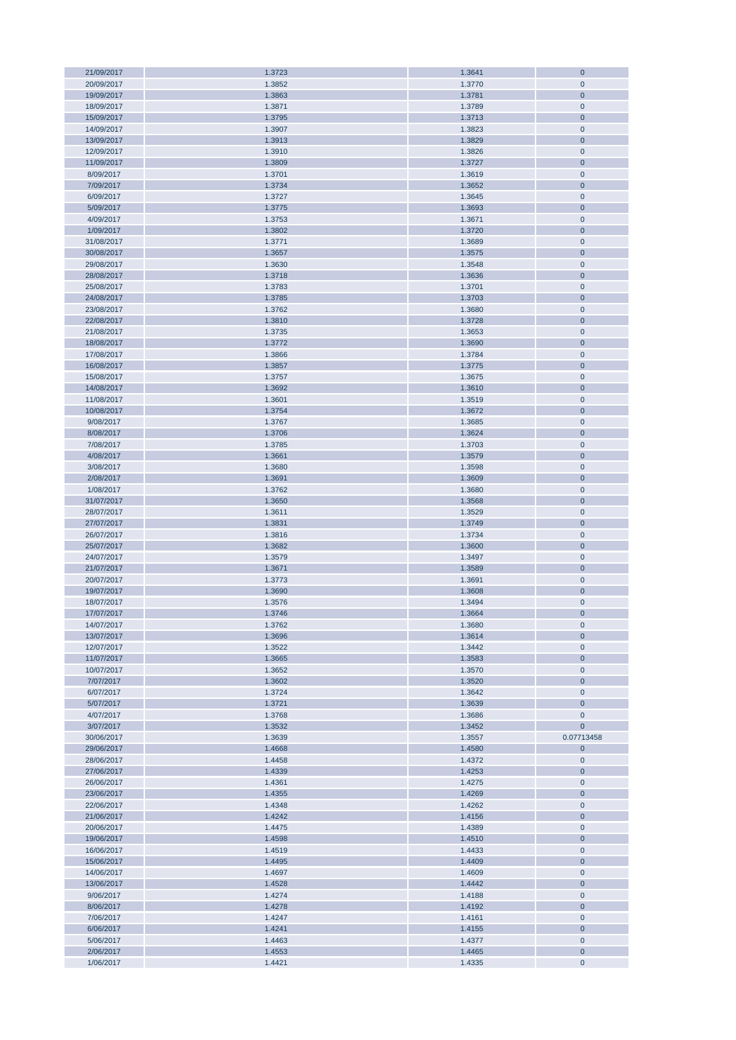| 21/09/2017 | 1.3723 | 1.3641 | $\mathbf 0$    |
|------------|--------|--------|----------------|
| 20/09/2017 | 1.3852 | 1.3770 | $\mathbf 0$    |
| 19/09/2017 | 1.3863 | 1.3781 | $\mathbf 0$    |
| 18/09/2017 | 1.3871 | 1.3789 | $\mathbf 0$    |
|            |        |        |                |
| 15/09/2017 | 1.3795 | 1.3713 | $\mathbf 0$    |
| 14/09/2017 | 1.3907 | 1.3823 | $\mathbf 0$    |
| 13/09/2017 | 1.3913 | 1.3829 | $\mathbf 0$    |
| 12/09/2017 | 1.3910 | 1.3826 | $\mathbf 0$    |
|            |        |        |                |
| 11/09/2017 | 1.3809 | 1.3727 | $\bf 0$        |
| 8/09/2017  | 1.3701 | 1.3619 | $\mathbf 0$    |
| 7/09/2017  | 1.3734 | 1.3652 | $\mathbf 0$    |
| 6/09/2017  | 1.3727 | 1.3645 | $\mathbf 0$    |
| 5/09/2017  | 1.3775 | 1.3693 | $\mathbf 0$    |
|            |        |        |                |
| 4/09/2017  | 1.3753 | 1.3671 | $\pmb{0}$      |
| 1/09/2017  | 1.3802 | 1.3720 | $\mathbf 0$    |
| 31/08/2017 | 1.3771 | 1.3689 | $\mathbf 0$    |
| 30/08/2017 | 1.3657 | 1.3575 | $\mathbf 0$    |
|            |        |        |                |
| 29/08/2017 | 1.3630 | 1.3548 | $\mathbf 0$    |
| 28/08/2017 | 1.3718 | 1.3636 | $\mathbf 0$    |
| 25/08/2017 | 1.3783 | 1.3701 | $\mathbf 0$    |
| 24/08/2017 | 1.3785 | 1.3703 | $\mathbf 0$    |
|            |        | 1.3680 | $\mathbf 0$    |
| 23/08/2017 | 1.3762 |        |                |
| 22/08/2017 | 1.3810 | 1.3728 | $\mathbf 0$    |
| 21/08/2017 | 1.3735 | 1.3653 | $\mathbf 0$    |
| 18/08/2017 | 1.3772 | 1.3690 | $\mathbf 0$    |
| 17/08/2017 | 1.3866 | 1.3784 | $\mathbf 0$    |
|            |        |        |                |
| 16/08/2017 | 1.3857 | 1.3775 | $\mathbf 0$    |
| 15/08/2017 | 1.3757 | 1.3675 | $\mathbf 0$    |
| 14/08/2017 | 1.3692 | 1.3610 | $\mathbf 0$    |
| 11/08/2017 | 1.3601 | 1.3519 | $\overline{0}$ |
|            |        |        |                |
| 10/08/2017 | 1.3754 | 1.3672 | $\overline{0}$ |
| 9/08/2017  | 1.3767 | 1.3685 | $\mathbf 0$    |
| 8/08/2017  | 1.3706 | 1.3624 | $\overline{0}$ |
| 7/08/2017  | 1.3785 | 1.3703 | $\pmb{0}$      |
| 4/08/2017  | 1.3661 | 1.3579 | $\mathbf 0$    |
|            |        |        |                |
| 3/08/2017  | 1.3680 | 1.3598 | $\pmb{0}$      |
| 2/08/2017  | 1.3691 | 1.3609 | $\mathbf 0$    |
| 1/08/2017  | 1.3762 | 1.3680 | $\pmb{0}$      |
| 31/07/2017 | 1.3650 | 1.3568 | $\mathbf 0$    |
|            |        |        |                |
| 28/07/2017 | 1.3611 | 1.3529 | $\mathbf 0$    |
| 27/07/2017 | 1.3831 | 1.3749 | $\mathbf 0$    |
| 26/07/2017 | 1.3816 | 1.3734 | $\mathbf 0$    |
| 25/07/2017 | 1.3682 | 1.3600 | $\mathbf 0$    |
| 24/07/2017 | 1.3579 | 1.3497 | $\mathbf 0$    |
|            |        |        |                |
| 21/07/2017 | 1.3671 | 1.3589 | $\mathbf 0$    |
| 20/07/2017 | 1.3773 | 1.3691 | $\mathbf 0$    |
| 19/07/2017 | 1.3690 | 1.3608 | $\mathbf 0$    |
| 18/07/2017 | 1.3576 | 1.3494 | $\mathbf 0$    |
|            |        |        | $\overline{0}$ |
| 17/07/2017 | 1.3746 | 1.3664 |                |
| 14/07/2017 | 1.3762 | 1.3680 | $\mathbf 0$    |
| 13/07/2017 | 1.3696 | 1.3614 | $\mathbf 0$    |
| 12/07/2017 | 1.3522 | 1.3442 | $\mathbf 0$    |
| 11/07/2017 | 1.3665 | 1.3583 | $\pmb{0}$      |
|            |        |        |                |
| 10/07/2017 | 1.3652 | 1.3570 | $\mathbf 0$    |
| 7/07/2017  | 1.3602 | 1.3520 | $\pmb{0}$      |
| 6/07/2017  | 1.3724 | 1.3642 | $\pmb{0}$      |
| 5/07/2017  | 1.3721 | 1.3639 | $\bf 0$        |
| 4/07/2017  | 1.3768 | 1.3686 | $\mathbf 0$    |
|            |        |        |                |
| 3/07/2017  | 1.3532 | 1.3452 | $\mathbf{0}$   |
| 30/06/2017 | 1.3639 | 1.3557 | 0.07713458     |
| 29/06/2017 | 1.4668 | 1.4580 | $\bf{0}$       |
| 28/06/2017 | 1.4458 | 1.4372 | $\pmb{0}$      |
| 27/06/2017 | 1.4339 | 1.4253 | $\mathbf 0$    |
|            |        |        |                |
| 26/06/2017 | 1.4361 | 1.4275 | $\pmb{0}$      |
| 23/06/2017 | 1.4355 | 1.4269 | $\mathbf 0$    |
| 22/06/2017 | 1.4348 | 1.4262 | $\mathbf 0$    |
| 21/06/2017 | 1.4242 | 1.4156 | $\mathbf 0$    |
| 20/06/2017 | 1.4475 | 1.4389 | $\pmb{0}$      |
|            |        |        |                |
| 19/06/2017 | 1.4598 | 1.4510 | $\mathbf 0$    |
| 16/06/2017 | 1.4519 | 1.4433 | $\pmb{0}$      |
| 15/06/2017 | 1.4495 | 1.4409 | $\mathbf 0$    |
| 14/06/2017 | 1.4697 | 1.4609 | $\pmb{0}$      |
|            |        |        |                |
| 13/06/2017 | 1.4528 | 1.4442 | $\mathbf 0$    |
| 9/06/2017  | 1.4274 | 1.4188 | $\pmb{0}$      |
| 8/06/2017  | 1.4278 | 1.4192 | $\mathbf 0$    |
| 7/06/2017  | 1.4247 | 1.4161 | $\pmb{0}$      |
|            |        |        |                |
| 6/06/2017  | 1.4241 | 1.4155 | $\overline{0}$ |
| 5/06/2017  | 1.4463 | 1.4377 | $\pmb{0}$      |
| 2/06/2017  | 1.4553 | 1.4465 | $\overline{0}$ |
| 1/06/2017  | 1.4421 | 1.4335 | $\pmb{0}$      |
|            |        |        |                |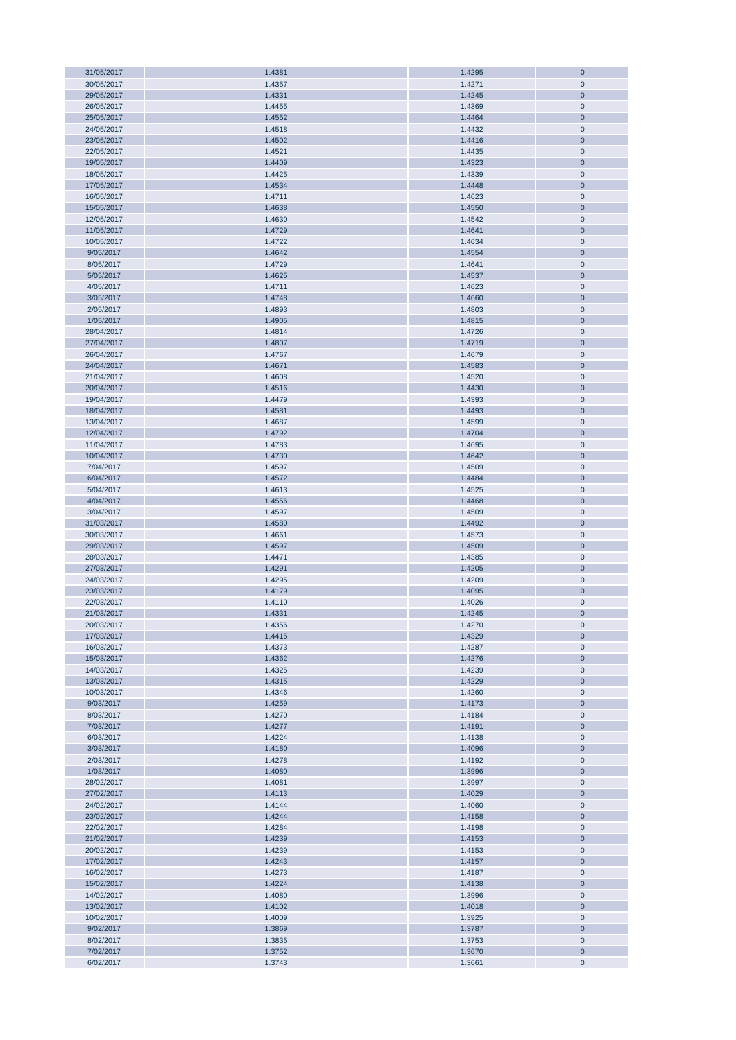| 31/05/2017             | 1.4381           | 1.4295           | $\bf{0}$               |
|------------------------|------------------|------------------|------------------------|
| 30/05/2017             | 1.4357           | 1.4271           | $\mathbf 0$            |
| 29/05/2017             | 1.4331           | 1.4245           | $\overline{0}$         |
| 26/05/2017             | 1.4455           | 1.4369           | $\mathbf{0}$           |
|                        |                  |                  |                        |
| 25/05/2017             | 1.4552           | 1.4464           | $\bf 0$                |
| 24/05/2017             | 1.4518           | 1.4432           | $\pmb{0}$              |
| 23/05/2017             | 1.4502           | 1.4416           | $\bf 0$                |
| 22/05/2017             | 1.4521           | 1.4435           | $\pmb{0}$              |
| 19/05/2017             | 1.4409           | 1.4323           | $\bf 0$                |
|                        |                  |                  |                        |
| 18/05/2017             | 1.4425           | 1.4339           | $\pmb{0}$              |
| 17/05/2017             | 1.4534           | 1.4448           | $\bf 0$                |
| 16/05/2017             | 1.4711           | 1.4623           | $\pmb{0}$              |
| 15/05/2017             | 1.4638           | 1.4550           | $\pmb{0}$              |
|                        |                  |                  |                        |
| 12/05/2017             | 1.4630           | 1.4542           | $\pmb{0}$              |
| 11/05/2017             | 1.4729           | 1.4641           | $\bf 0$                |
| 10/05/2017             | 1.4722           | 1.4634           | $\pmb{0}$              |
| 9/05/2017              | 1.4642           | 1.4554           | $\pmb{0}$              |
|                        |                  |                  |                        |
| 8/05/2017              | 1.4729           | 1.4641           | $\pmb{0}$              |
| 5/05/2017              | 1.4625           | 1.4537           | $\bf 0$                |
| 4/05/2017              | 1.4711           | 1.4623           | $\pmb{0}$              |
| 3/05/2017              | 1.4748           | 1.4660           | $\bf 0$                |
| 2/05/2017              | 1.4893           | 1.4803           | $\pmb{0}$              |
|                        |                  |                  |                        |
| 1/05/2017              | 1.4905           | 1.4815           | $\mathbf{0}$           |
| 28/04/2017             | 1.4814           | 1.4726           | $\pmb{0}$              |
| 27/04/2017             | 1.4807           | 1.4719           | $\mathbf{0}$           |
| 26/04/2017             | 1.4767           | 1.4679           | $\mathbf{0}$           |
|                        |                  |                  |                        |
| 24/04/2017             | 1.4671           | 1.4583           | $\bf 0$                |
| 21/04/2017             | 1.4608           | 1.4520           | $\mathbf{0}$           |
| 20/04/2017             | 1.4516           | 1.4430           | $\bf 0$                |
| 19/04/2017             | 1.4479           | 1.4393           | $\pmb{0}$              |
| 18/04/2017             | 1.4581           |                  | $\bf 0$                |
|                        |                  | 1.4493           |                        |
| 13/04/2017             | 1.4687           | 1.4599           | $\pmb{0}$              |
| 12/04/2017             | 1.4792           | 1.4704           | $\bf 0$                |
| 11/04/2017             | 1.4783           | 1.4695           | $\pmb{0}$              |
| 10/04/2017             | 1.4730           | 1.4642           | $\bf 0$                |
|                        |                  |                  |                        |
| 7/04/2017              | 1.4597           | 1.4509           | $\pmb{0}$              |
| 6/04/2017              | 1.4572           | 1.4484           | $\pmb{0}$              |
| 5/04/2017              | 1.4613           | 1.4525           | $\pmb{0}$              |
| 4/04/2017              | 1.4556           | 1.4468           | $\bf 0$                |
|                        |                  |                  |                        |
| 3/04/2017              | 1.4597           | 1.4509           | $\pmb{0}$              |
| 31/03/2017             | 1.4580           | 1.4492           | $\pmb{0}$              |
| 30/03/2017             | 1.4661           | 1.4573           | $\pmb{0}$              |
| 29/03/2017             | 1.4597           | 1.4509           | $\pmb{0}$              |
|                        |                  |                  |                        |
| 28/03/2017             | 1.4471           | 1.4385           | $\pmb{0}$              |
| 27/03/2017             | 1.4291           | 1.4205           | $\bf 0$                |
| 24/03/2017             | 1.4295           | 1.4209           | $\mathbf{0}$           |
| 23/03/2017             | 1.4179           | 1.4095           | $\mathbf{0}$           |
| 22/03/2017             | 1.4110           |                  | $\mathbf{0}$           |
|                        |                  | 1.4026           |                        |
| 21/03/2017             | 1.4331           | 1.4245           | $\overline{0}$         |
| 20/03/2017             | 1.4356           | 1.4270           | $\pmb{0}$              |
| 17/03/2017             | 1.4415           | 1.4329           | $\bf{0}$               |
| 16/03/2017             | 1.4373           | 1.4287           | $\pmb{0}$              |
|                        |                  |                  |                        |
| 15/03/2017             | 1.4362           | 1.4276           | $\pmb{0}$              |
| 14/03/2017             | 1.4325           | 1.4239           | $\pmb{0}$              |
| 13/03/2017             | 1.4315           | 1.4229           | $\pmb{0}$              |
| 10/03/2017             | 1.4346           | 1.4260           | $\pmb{0}$              |
| 9/03/2017              | 1.4259           | 1.4173           | $\pmb{0}$              |
|                        |                  |                  |                        |
| 8/03/2017              | 1.4270           | 1.4184           | $\pmb{0}$              |
| 7/03/2017              | 1.4277           | 1.4191           | $\pmb{0}$              |
| 6/03/2017              | 1.4224           | 1.4138           | $\pmb{0}$              |
| 3/03/2017              | 1.4180           | 1.4096           | $\pmb{0}$              |
| 2/03/2017              | 1.4278           | 1.4192           | $\pmb{0}$              |
|                        |                  |                  |                        |
| 1/03/2017              | 1.4080           | 1.3996           | $\pmb{0}$              |
| 28/02/2017             | 1.4081           | 1.3997           | $\pmb{0}$              |
| 27/02/2017             | 1.4113           | 1.4029           | $\pmb{0}$              |
| 24/02/2017             | 1.4144           | 1.4060           | $\pmb{0}$              |
|                        |                  |                  |                        |
| 23/02/2017             | 1.4244           | 1.4158           | $\pmb{0}$              |
| 22/02/2017             | 1.4284           | 1.4198           | $\pmb{0}$              |
| 21/02/2017             | 1.4239           | 1.4153           | $\bf 0$                |
| 20/02/2017             | 1.4239           | 1.4153           | $\pmb{0}$              |
| 17/02/2017             | 1.4243           | 1.4157           | $\mathbf{0}$           |
|                        |                  |                  |                        |
| 16/02/2017             | 1.4273           | 1.4187           | $\pmb{0}$              |
| 15/02/2017             | 1.4224           | 1.4138           | $\bf 0$                |
| 14/02/2017             | 1.4080           | 1.3996           | $\pmb{0}$              |
| 13/02/2017             | 1.4102           | 1.4018           | $\mathbf{0}$           |
|                        |                  |                  |                        |
| 10/02/2017             | 1.4009           | 1.3925           | $\pmb{0}$              |
| 9/02/2017              | 1.3869           | 1.3787           | $\bf 0$                |
| 8/02/2017              | 1.3835           | 1.3753           | 0                      |
|                        |                  |                  |                        |
|                        |                  |                  |                        |
| 7/02/2017<br>6/02/2017 | 1.3752<br>1.3743 | 1.3670<br>1.3661 | $\pmb{0}$<br>$\pmb{0}$ |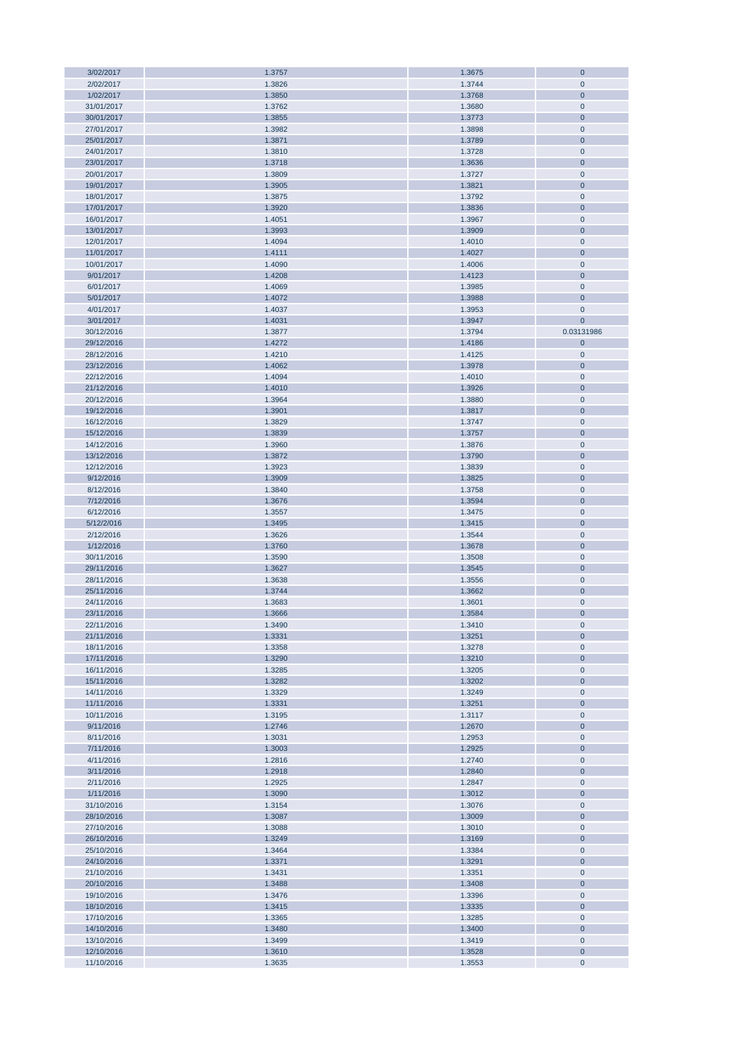| 3/02/2017                | 1.3757           | 1.3675           | $\bf 0$                    |
|--------------------------|------------------|------------------|----------------------------|
| 2/02/2017                | 1.3826           | 1.3744           | $\mathbf 0$                |
| 1/02/2017                | 1.3850           | 1.3768           | $\mathbf 0$                |
|                          |                  |                  |                            |
| 31/01/2017               | 1.3762           | 1.3680           | $\mathbf 0$                |
| 30/01/2017               | 1.3855           | 1.3773           | $\bf 0$                    |
| 27/01/2017               | 1.3982           | 1.3898           | $\pmb{0}$                  |
| 25/01/2017               | 1.3871           | 1.3789           | $\mathbf 0$                |
| 24/01/2017               | 1.3810           | 1.3728           | $\mathbf 0$                |
|                          |                  |                  |                            |
| 23/01/2017               | 1.3718           | 1.3636           | $\mathbf 0$                |
| 20/01/2017               | 1.3809           | 1.3727           | $\mathbf 0$                |
| 19/01/2017               | 1.3905           | 1.3821           | $\mathbf 0$                |
| 18/01/2017               | 1.3875           | 1.3792           | $\mathbf 0$                |
| 17/01/2017               | 1.3920           | 1.3836           | $\mathbf 0$                |
|                          |                  |                  |                            |
| 16/01/2017               | 1.4051           | 1.3967           | $\mathbf 0$                |
| 13/01/2017               | 1.3993           | 1.3909           | $\mathbf 0$                |
| 12/01/2017               | 1.4094           | 1.4010           | $\mathbf 0$                |
| 11/01/2017               | 1.4111           | 1.4027           | $\mathbf 0$                |
|                          |                  |                  |                            |
| 10/01/2017               | 1.4090           | 1.4006           | $\pmb{0}$                  |
| 9/01/2017                | 1.4208           | 1.4123           | $\mathbf 0$                |
| 6/01/2017                | 1.4069           | 1.3985           | $\mathbf 0$                |
| 5/01/2017                | 1.4072           | 1.3988           | $\overline{0}$             |
| 4/01/2017                | 1.4037           | 1.3953           | $\mathbf 0$                |
|                          |                  |                  |                            |
| 3/01/2017                | 1.4031           | 1.3947           | $\mathbf{0}$               |
| 30/12/2016               | 1.3877           | 1.3794           | 0.03131986                 |
| 29/12/2016               | 1.4272           | 1.4186           | $\bf 0$                    |
| 28/12/2016               | 1.4210           | 1.4125           | $\pmb{0}$                  |
| 23/12/2016               | 1.4062           | 1.3978           | $\bf 0$                    |
|                          |                  |                  |                            |
| 22/12/2016               | 1.4094           | 1.4010           | $\pmb{0}$                  |
| 21/12/2016               | 1.4010           | 1.3926           | $\mathbf 0$                |
| 20/12/2016               | 1.3964           | 1.3880           | $\pmb{0}$                  |
| 19/12/2016               | 1.3901           | 1.3817           | $\mathbf 0$                |
| 16/12/2016               | 1.3829           | 1.3747           | $\mathbf 0$                |
|                          |                  |                  |                            |
| 15/12/2016               | 1.3839           | 1.3757           | $\mathbf 0$                |
| 14/12/2016               | 1.3960           | 1.3876           | $\mathbf 0$                |
| 13/12/2016               | 1.3872           | 1.3790           | $\mathbf 0$                |
| 12/12/2016               | 1.3923           | 1.3839           | $\mathbf 0$                |
|                          |                  |                  | $\mathbf 0$                |
| 9/12/2016                | 1.3909           | 1.3825           |                            |
| 8/12/2016                | 1.3840           | 1.3758           | $\pmb{0}$                  |
| 7/12/2016                | 1.3676           | 1.3594           | $\mathbf 0$                |
| 6/12/2016                | 1.3557           | 1.3475           | $\pmb{0}$                  |
| 5/12/2/016               | 1.3495           | 1.3415           | $\mathbf 0$                |
|                          |                  |                  |                            |
| 2/12/2016                | 1.3626           | 1.3544           | $\mathbf 0$                |
| 1/12/2016                | 1.3760           | 1.3678           | $\mathbf 0$                |
| 30/11/2016               | 1.3590           | 1.3508           | $\mathbf 0$                |
| 29/11/2016               | 1.3627           | 1.3545           | $\overline{0}$             |
| 28/11/2016               | 1.3638           | 1.3556           | $\overline{0}$             |
|                          |                  |                  |                            |
| 25/11/2016               | 1.3744           | 1.3662           | $\mathbf 0$                |
| 24/11/2016               | 1.3683           | 1.3601           | $\mathbf 0$                |
| 23/11/2016               | 1.3666           | 1.3584           | $\mathbf 0$                |
| 22/11/2016               | 1.3490           | 1.3410           | $\mathbf 0$                |
| 21/11/2016               | 1.3331           | 1.3251           | $\bf 0$                    |
|                          |                  |                  |                            |
| 18/11/2016               | 1.3358           | 1.3278           | $\mathbf 0$                |
| 17/11/2016               | 1.3290           | 1.3210           | $\mathbf 0$                |
| 16/11/2016               | 1.3285           | 1.3205           | $\pmb{0}$                  |
| 15/11/2016               | 1.3282           | 1.3202           | $\mathbf 0$                |
| 14/11/2016               | 1.3329           | 1.3249           | $\pmb{0}$                  |
|                          |                  |                  |                            |
| 11/11/2016               | 1.3331           | 1.3251           | $\mathbf 0$                |
| 10/11/2016               | 1.3195           | 1.3117           | $\mathbf 0$                |
| 9/11/2016                | 1.2746           | 1.2670           | $\mathbf 0$                |
| 8/11/2016                | 1.3031           | 1.2953           | $\pmb{0}$                  |
| 7/11/2016                | 1.3003           | 1.2925           | $\mathbf 0$                |
| 4/11/2016                | 1.2816           | 1.2740           | $\pmb{0}$                  |
|                          |                  |                  |                            |
| 3/11/2016                | 1.2918           | 1.2840           | $\mathbf 0$                |
| 2/11/2016                | 1.2925           | 1.2847           | $\pmb{0}$                  |
| 1/11/2016                | 1.3090           | 1.3012           | $\mathbf 0$                |
| 31/10/2016               | 1.3154           | 1.3076           | $\pmb{0}$                  |
| 28/10/2016               | 1.3087           | 1.3009           | $\mathbf 0$                |
| 27/10/2016               | 1.3088           | 1.3010           | $\pmb{0}$                  |
|                          |                  |                  |                            |
| 26/10/2016               | 1.3249           | 1.3169           | $\mathbf 0$                |
| 25/10/2016               | 1.3464           | 1.3384           | $\pmb{0}$                  |
| 24/10/2016               | 1.3371           | 1.3291           | $\overline{0}$             |
| 21/10/2016               | 1.3431           | 1.3351           | $\pmb{0}$                  |
|                          |                  |                  |                            |
| 20/10/2016               | 1.3488           | 1.3408           | $\mathbf 0$                |
| 19/10/2016               | 1.3476           | 1.3396           | $\pmb{0}$                  |
|                          |                  |                  |                            |
| 18/10/2016               | 1.3415           | 1.3335           | $\mathbf 0$                |
| 17/10/2016               | 1.3365           | 1.3285           | $\pmb{0}$                  |
|                          |                  |                  |                            |
| 14/10/2016               | 1.3480           | 1.3400           | $\bf{0}$                   |
| 13/10/2016               | 1.3499           | 1.3419           | $\pmb{0}$                  |
| 12/10/2016<br>11/10/2016 | 1.3610<br>1.3635 | 1.3528<br>1.3553 | $\mathbf 0$<br>$\mathbf 0$ |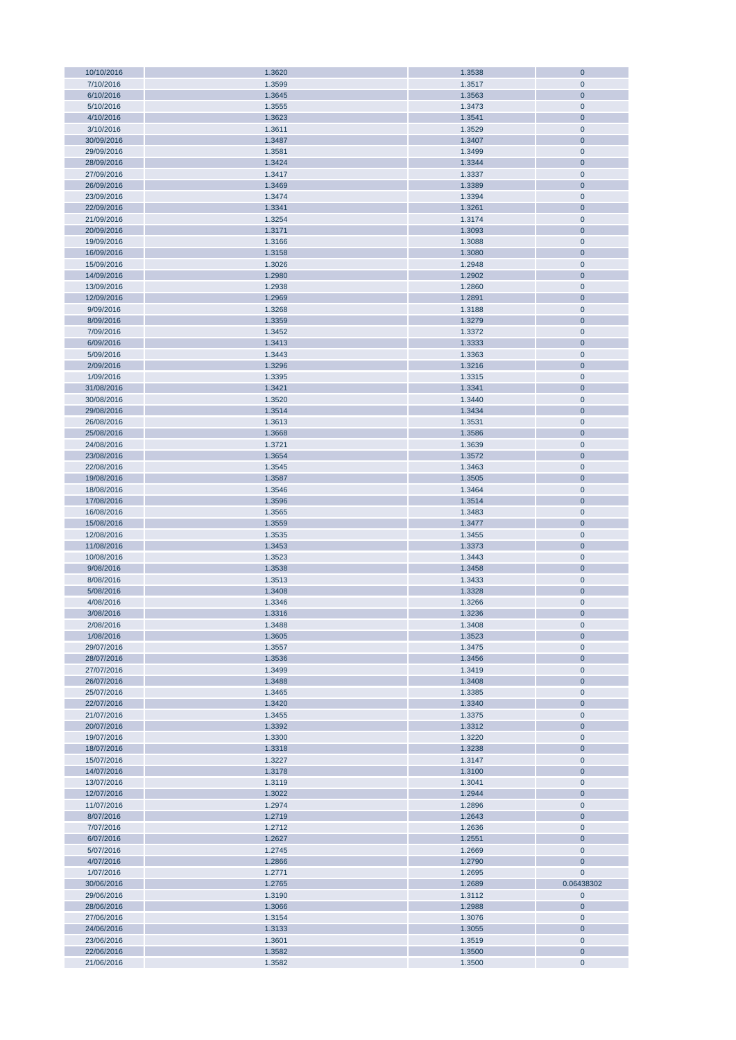| 10/10/2016               | 1.3620           | 1.3538           | $\mathbf{0}$          |
|--------------------------|------------------|------------------|-----------------------|
| 7/10/2016                | 1.3599           | 1.3517           | $\mathbf{0}$          |
| 6/10/2016                | 1.3645           | 1.3563           | $\mathbf{0}$          |
| 5/10/2016                | 1.3555           | 1.3473           | $\pmb{0}$             |
|                          |                  |                  |                       |
| 4/10/2016                | 1.3623           | 1.3541           | $\bf{0}$              |
| 3/10/2016                | 1.3611           | 1.3529           | $\pmb{0}$             |
| 30/09/2016               | 1.3487           | 1.3407           | $\bf{0}$              |
| 29/09/2016               | 1.3581           | 1.3499           | $\pmb{0}$             |
| 28/09/2016               | 1.3424           | 1.3344           | $\pmb{0}$             |
| 27/09/2016               | 1.3417           | 1.3337           | $\pmb{0}$             |
|                          |                  |                  |                       |
| 26/09/2016               | 1.3469           | 1.3389           | $\pmb{0}$             |
| 23/09/2016               | 1.3474           | 1.3394           | $\pmb{0}$             |
| 22/09/2016               | 1.3341           | 1.3261           | $\pmb{0}$             |
| 21/09/2016               | 1.3254           | 1.3174           | $\pmb{0}$             |
| 20/09/2016               | 1.3171           | 1.3093           | $\mathbf 0$           |
|                          |                  |                  |                       |
| 19/09/2016               | 1.3166           | 1.3088           | $\mathbf{0}$          |
| 16/09/2016               | 1.3158           | 1.3080           | $\mathbf 0$           |
| 15/09/2016               | 1.3026           | 1.2948           | $\pmb{0}$             |
| 14/09/2016               | 1.2980           | 1.2902           | $\pmb{0}$             |
| 13/09/2016               | 1.2938           | 1.2860           | $\pmb{0}$             |
| 12/09/2016               | 1.2969           | 1.2891           | $\mathbf 0$           |
| 9/09/2016                | 1.3268           | 1.3188           | $\pmb{0}$             |
|                          |                  |                  |                       |
| 8/09/2016                | 1.3359           | 1.3279           | $\mathbf{0}$          |
| 7/09/2016                | 1.3452           | 1.3372           | $\pmb{0}$             |
| 6/09/2016                | 1.3413           | 1.3333           | $\bf{0}$              |
| 5/09/2016                | 1.3443           | 1.3363           | $\pmb{0}$             |
| 2/09/2016                | 1.3296           | 1.3216           | $\mathbf{0}$          |
| 1/09/2016                | 1.3395           |                  | $\pmb{0}$             |
|                          |                  | 1.3315           |                       |
| 31/08/2016               | 1.3421           | 1.3341           | $\mathbf{0}$          |
| 30/08/2016               | 1.3520           | 1.3440           | $\pmb{0}$             |
| 29/08/2016               | 1.3514           | 1.3434           | $\bf{0}$              |
| 26/08/2016               | 1.3613           | 1.3531           | $\pmb{0}$             |
| 25/08/2016               | 1.3668           | 1.3586           | $\pmb{0}$             |
|                          |                  |                  |                       |
| 24/08/2016               | 1.3721           | 1.3639           | $\pmb{0}$             |
| 23/08/2016               | 1.3654           | 1.3572           | $\pmb{0}$             |
| 22/08/2016               | 1.3545           | 1.3463           | $\pmb{0}$             |
| 19/08/2016               | 1.3587           | 1.3505           | $\pmb{0}$             |
| 18/08/2016               | 1.3546           | 1.3464           | $\pmb{0}$             |
| 17/08/2016               | 1.3596           | 1.3514           | $\mathbf 0$           |
|                          |                  |                  |                       |
| 16/08/2016               | 1.3565           | 1.3483           | $\pmb{0}$             |
| 15/08/2016               | 1.3559           | 1.3477           | $\mathbf 0$           |
| 12/08/2016               | 1.3535           | 1.3455           | $\pmb{0}$             |
| 11/08/2016               | 1.3453           | 1.3373           | $\mathbf 0$           |
| 10/08/2016               | 1.3523           | 1.3443           | $\pmb{0}$             |
| 9/08/2016                | 1.3538           | 1.3458           | $\mathbf 0$           |
| 8/08/2016                | 1.3513           | 1.3433           | $\pmb{0}$             |
|                          |                  |                  |                       |
| 5/08/2016                | 1.3408           | 1.3328           | $\mathbf 0$           |
| 4/08/2016                | 1.3346           | 1.3266           | $\pmb{0}$             |
| 3/08/2016                | 1.3316           | 1.3236           | $\mathbf{0}$          |
| 2/08/2016                | 1.3488           | 1.3408           | $\mathbf{0}$          |
| 1/08/2016                | 1.3605           | 1.3523           | $\mathbf{0}$          |
| 29/07/2016               | 1.3557           | 1.3475           | $\mathbf{0}$          |
|                          |                  |                  |                       |
| 28/07/2016               | 1.3536           | 1.3456           | $\pmb{0}$             |
| 27/07/2016               | 1.3499           | 1.3419           | $\pmb{0}$             |
| 26/07/2016               | 1.3488           | 1.3408           | $\pmb{0}$             |
| 25/07/2016               | 1.3465           | 1.3385           | $\pmb{0}$             |
| 22/07/2016               | 1.3420           | 1.3340           | $\pmb{0}$             |
| 21/07/2016               | 1.3455           | 1.3375           | $\mathbf 0$           |
| 20/07/2016               | 1.3392           | 1.3312           | $\pmb{0}$             |
|                          |                  |                  |                       |
| 19/07/2016               | 1.3300           | 1.3220           | $\pmb{0}$             |
| 18/07/2016               | 1.3318           | 1.3238           | $\bf{0}$              |
| 15/07/2016               |                  |                  |                       |
| 14/07/2016               | 1.3227           | 1.3147           | $\pmb{0}$             |
|                          | 1.3178           | 1.3100           | $\mathbf 0$           |
|                          |                  |                  |                       |
| 13/07/2016               | 1.3119           | 1.3041           | $\mathbf 0$           |
| 12/07/2016               | 1.3022           | 1.2944           | $\mathbf 0$           |
| 11/07/2016               | 1.2974           | 1.2896           | $\pmb{0}$             |
| 8/07/2016                | 1.2719           | 1.2643           | $\bf{0}$              |
| 7/07/2016                | 1.2712           | 1.2636           | $\pmb{0}$             |
| 6/07/2016                | 1.2627           | 1.2551           | $\mathbf 0$           |
| 5/07/2016                | 1.2745           | 1.2669           | $\pmb{0}$             |
|                          |                  |                  |                       |
| 4/07/2016                | 1.2866           | 1.2790           | $\mathbf{0}$          |
| 1/07/2016                | 1.2771           | 1.2695           | $\mathbf 0$           |
| 30/06/2016               | 1.2765           | 1.2689           | 0.06438302            |
| 29/06/2016               | 1.3190           | 1.3112           | $\pmb{0}$             |
| 28/06/2016               | 1.3066           | 1.2988           | $\mathbf{0}$          |
| 27/06/2016               | 1.3154           | 1.3076           | $\pmb{0}$             |
|                          |                  |                  |                       |
| 24/06/2016               | 1.3133           | 1.3055           | $\pmb{0}$             |
| 23/06/2016               | 1.3601           | 1.3519           | $\bf{0}$              |
| 22/06/2016<br>21/06/2016 | 1.3582<br>1.3582 | 1.3500<br>1.3500 | $\bf{0}$<br>$\pmb{0}$ |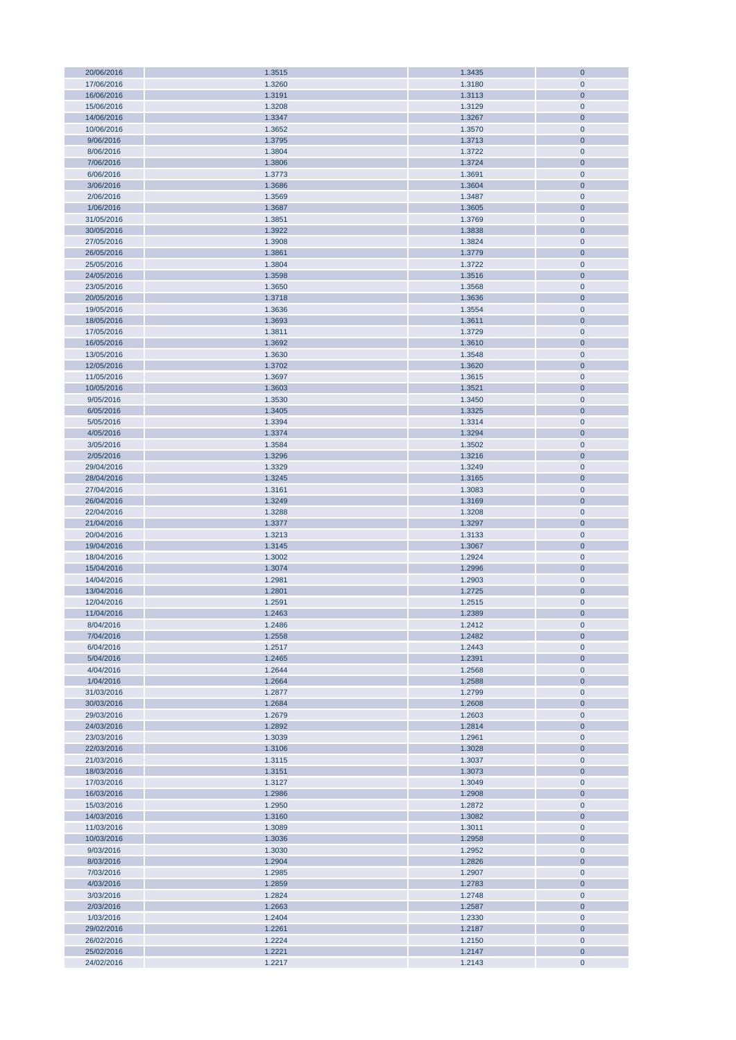| 20/06/2016 | 1.3515 | 1.3435 | $\bf{0}$       |
|------------|--------|--------|----------------|
|            |        |        |                |
| 17/06/2016 | 1.3260 | 1.3180 | $\pmb{0}$      |
| 16/06/2016 | 1.3191 | 1.3113 | $\mathbf{0}$   |
| 15/06/2016 | 1.3208 | 1.3129 | $\pmb{0}$      |
|            |        |        |                |
| 14/06/2016 | 1.3347 | 1.3267 | $\bf 0$        |
| 10/06/2016 | 1.3652 | 1.3570 | $\pmb{0}$      |
| 9/06/2016  | 1.3795 | 1.3713 | $\mathbf 0$    |
|            |        |        |                |
| 8/06/2016  | 1.3804 | 1.3722 | $\mathbf{0}$   |
| 7/06/2016  | 1.3806 | 1.3724 | $\overline{0}$ |
| 6/06/2016  | 1.3773 | 1.3691 | $\pmb{0}$      |
|            |        |        |                |
| 3/06/2016  | 1.3686 | 1.3604 | $\bf 0$        |
| 2/06/2016  | 1.3569 | 1.3487 | $\pmb{0}$      |
| 1/06/2016  |        |        | $\bf 0$        |
|            | 1.3687 | 1.3605 |                |
| 31/05/2016 | 1.3851 | 1.3769 | $\pmb{0}$      |
| 30/05/2016 | 1.3922 | 1.3838 | $\bf 0$        |
|            |        |        |                |
| 27/05/2016 | 1.3908 | 1.3824 | $\pmb{0}$      |
| 26/05/2016 | 1.3861 | 1.3779 | $\pmb{0}$      |
| 25/05/2016 | 1.3804 | 1.3722 | $\pmb{0}$      |
|            |        |        |                |
| 24/05/2016 | 1.3598 | 1.3516 | $\pmb{0}$      |
| 23/05/2016 | 1.3650 | 1.3568 | $\pmb{0}$      |
| 20/05/2016 | 1.3718 | 1.3636 | $\bf{0}$       |
|            |        |        |                |
| 19/05/2016 | 1.3636 | 1.3554 | $\pmb{0}$      |
| 18/05/2016 | 1.3693 | 1.3611 | $\pmb{0}$      |
| 17/05/2016 | 1.3811 | 1.3729 | $\pmb{0}$      |
|            |        |        |                |
| 16/05/2016 | 1.3692 | 1.3610 | $\pmb{0}$      |
| 13/05/2016 | 1.3630 | 1.3548 | $\pmb{0}$      |
| 12/05/2016 | 1.3702 | 1.3620 | $\bf 0$        |
|            |        |        |                |
| 11/05/2016 | 1.3697 | 1.3615 | $\pmb{0}$      |
| 10/05/2016 | 1.3603 | 1.3521 | $\mathbf{0}$   |
| 9/05/2016  | 1.3530 | 1.3450 | $\pmb{0}$      |
|            |        |        |                |
| 6/05/2016  | 1.3405 | 1.3325 | $\mathbf{0}$   |
| 5/05/2016  | 1.3394 | 1.3314 | $\pmb{0}$      |
| 4/05/2016  |        |        |                |
|            | 1.3374 | 1.3294 | $\bf 0$        |
| 3/05/2016  | 1.3584 | 1.3502 | $\pmb{0}$      |
| 2/05/2016  | 1.3296 | 1.3216 | $\bf 0$        |
|            |        |        |                |
| 29/04/2016 | 1.3329 | 1.3249 | $\pmb{0}$      |
| 28/04/2016 | 1.3245 | 1.3165 | $\bf 0$        |
| 27/04/2016 | 1.3161 | 1.3083 | $\pmb{0}$      |
|            |        |        |                |
| 26/04/2016 | 1.3249 | 1.3169 | $\pmb{0}$      |
| 22/04/2016 | 1.3288 | 1.3208 | $\pmb{0}$      |
| 21/04/2016 | 1.3377 | 1.3297 | $\pmb{0}$      |
|            |        |        |                |
| 20/04/2016 | 1.3213 | 1.3133 | $\pmb{0}$      |
| 19/04/2016 | 1.3145 | 1.3067 | $\pmb{0}$      |
| 18/04/2016 | 1.3002 | 1.2924 | $\pmb{0}$      |
|            |        |        |                |
| 15/04/2016 | 1.3074 | 1.2996 | $\pmb{0}$      |
| 14/04/2016 | 1.2981 | 1.2903 | $\pmb{0}$      |
| 13/04/2016 | 1.2801 | 1.2725 | $\bf 0$        |
|            |        |        |                |
| 12/04/2016 | 1.2591 | 1.2515 | $\mathbf{0}$   |
| 11/04/2016 | 1.2463 | 1.2389 | $\overline{0}$ |
| 8/04/2016  | 1.2486 | 1.2412 | $\mathbf 0$    |
|            |        |        |                |
| 7/04/2016  | 1.2558 | 1.2482 | $\bf 0$        |
| 6/04/2016  | 1.2517 | 1.2443 | $\pmb{0}$      |
| 5/04/2016  | 1.2465 | 1.2391 | $\bf 0$        |
|            |        |        |                |
| 4/04/2016  | 1.2644 | 1.2568 | $\pmb{0}$      |
| 1/04/2016  | 1.2664 | 1.2588 | $\bf 0$        |
| 31/03/2016 | 1.2877 | 1.2799 | $\pmb{0}$      |
|            |        |        |                |
| 30/03/2016 | 1.2684 | 1.2608 | $\bf 0$        |
| 29/03/2016 | 1.2679 | 1.2603 | $\pmb{0}$      |
| 24/03/2016 | 1.2892 | 1.2814 | $\bf 0$        |
|            |        |        |                |
| 23/03/2016 | 1.3039 |        | $\pmb{0}$      |
| 22/03/2016 |        | 1.2961 |                |
| 21/03/2016 | 1.3106 | 1.3028 | $\pmb{0}$      |
|            |        |        |                |
|            | 1.3115 | 1.3037 | $\pmb{0}$      |
| 18/03/2016 | 1.3151 | 1.3073 | $\pmb{0}$      |
| 17/03/2016 | 1.3127 | 1.3049 | $\pmb{0}$      |
|            |        |        |                |
| 16/03/2016 | 1.2986 | 1.2908 | $\pmb{0}$      |
| 15/03/2016 | 1.2950 | 1.2872 | $\pmb{0}$      |
| 14/03/2016 | 1.3160 | 1.3082 | $\pmb{0}$      |
|            |        |        |                |
| 11/03/2016 | 1.3089 | 1.3011 | $\pmb{0}$      |
| 10/03/2016 | 1.3036 | 1.2958 | $\pmb{0}$      |
| 9/03/2016  | 1.3030 | 1.2952 | $\pmb{0}$      |
|            |        |        |                |
| 8/03/2016  | 1.2904 | 1.2826 | $\pmb{0}$      |
| 7/03/2016  | 1.2985 | 1.2907 | $\pmb{0}$      |
| 4/03/2016  | 1.2859 | 1.2783 | $\pmb{0}$      |
|            |        |        |                |
| 3/03/2016  | 1.2824 | 1.2748 | $\pmb{0}$      |
| 2/03/2016  | 1.2663 | 1.2587 | $\bf 0$        |
| 1/03/2016  | 1.2404 | 1.2330 | $\pmb{0}$      |
|            |        |        |                |
| 29/02/2016 | 1.2261 | 1.2187 | $\mathbf{0}$   |
| 26/02/2016 | 1.2224 | 1.2150 | $\pmb{0}$      |
| 25/02/2016 | 1.2221 | 1.2147 | $\bf 0$        |
| 24/02/2016 | 1.2217 | 1.2143 | $\pmb{0}$      |